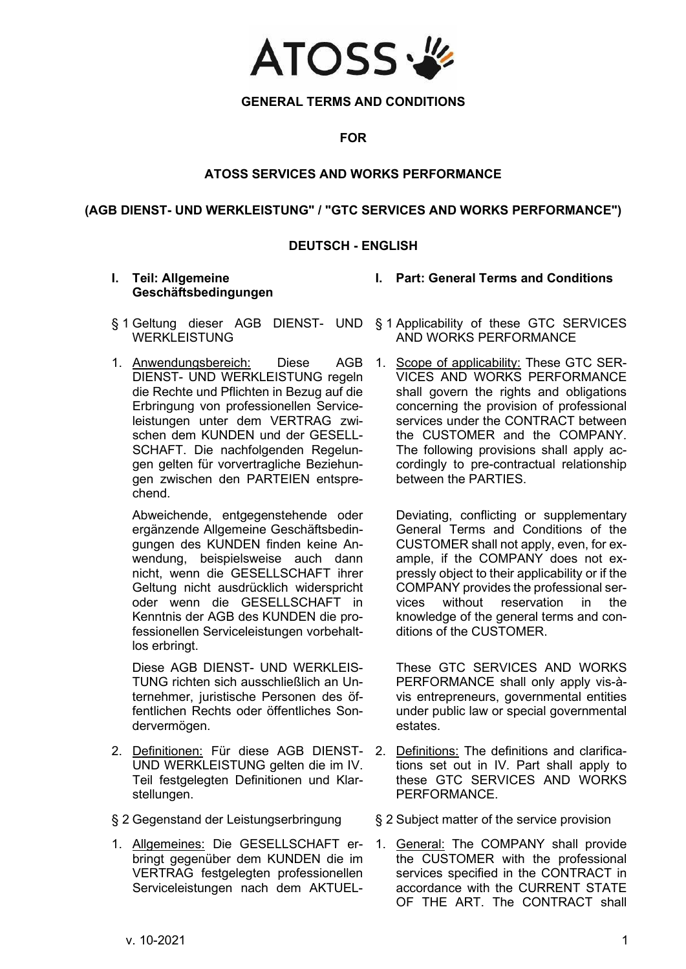

# **GENERAL TERMS AND CONDITIONS**

**FOR**

# **ATOSS SERVICES AND WORKS PERFORMANCE**

# **(AGB DIENST- UND WERKLEISTUNG" / "GTC SERVICES AND WORKS PERFORMANCE")**

# **DEUTSCH - ENGLISH**

## **I. Teil: Allgemeine Geschäftsbedingungen**

- 
- § 1 Geltung dieser AGB DIENST- UND § 1 Applicability of these GTC SERVICES **WERKLEISTUNG**
- 1. Anwendungsbereich: Diese AGB DIENST- UND WERKLEISTUNG regeln die Rechte und Pflichten in Bezug auf die Erbringung von professionellen Serviceleistungen unter dem VERTRAG zwischen dem KUNDEN und der GESELL-SCHAFT. Die nachfolgenden Regelungen gelten für vorvertragliche Beziehungen zwischen den PARTEIEN entsprechend.

Abweichende, entgegenstehende oder ergänzende Allgemeine Geschäftsbedingungen des KUNDEN finden keine Anwendung, beispielsweise auch dann nicht, wenn die GESELLSCHAFT ihrer Geltung nicht ausdrücklich widerspricht oder wenn die GESELLSCHAFT in Kenntnis der AGB des KUNDEN die professionellen Serviceleistungen vorbehaltlos erbringt.

Diese AGB DIENST- UND WERKLEIS-TUNG richten sich ausschließlich an Unternehmer, juristische Personen des öffentlichen Rechts oder öffentliches Sondervermögen.

- 2. Definitionen: Für diese AGB DIENST-UND WERKLEISTUNG gelten die im [IV.](#page-21-0) Teil festgelegten Definitionen und Klarstellungen.
- 
- 1. Allgemeines: Die GESELLSCHAFT erbringt gegenüber dem KUNDEN die im VERTRAG festgelegten professionellen Serviceleistungen nach dem AKTUEL-

AND WORKS PERFORMANCE

**I. Part: General Terms and Conditions**

1. Scope of applicability: These GTC SER-VICES AND WORKS PERFORMANCE shall govern the rights and obligations concerning the provision of professional services under the CONTRACT between the CUSTOMER and the COMPANY. The following provisions shall apply accordingly to pre-contractual relationship between the PARTIES.

Deviating, conflicting or supplementary General Terms and Conditions of the CUSTOMER shall not apply, even, for example, if the COMPANY does not expressly object to their applicability or if the COMPANY provides the professional ser-<br>vices without reservation in the vices without reservation in the knowledge of the general terms and conditions of the CUSTOMER.

These GTC SERVICES AND WORKS PERFORMANCE shall only apply vis-àvis entrepreneurs, governmental entities under public law or special governmental estates.

- 2. Definitions: The definitions and clarifications set out in IV. Part shall apply to these GTC SERVICES AND WORKS PERFORMANCE.
- § 2 Gegenstand der Leistungserbringung § 2 Subject matter of the service provision
	- 1. General: The COMPANY shall provide the CUSTOMER with the professional services specified in the CONTRACT in accordance with the CURRENT STATE OF THE ART. The CONTRACT shall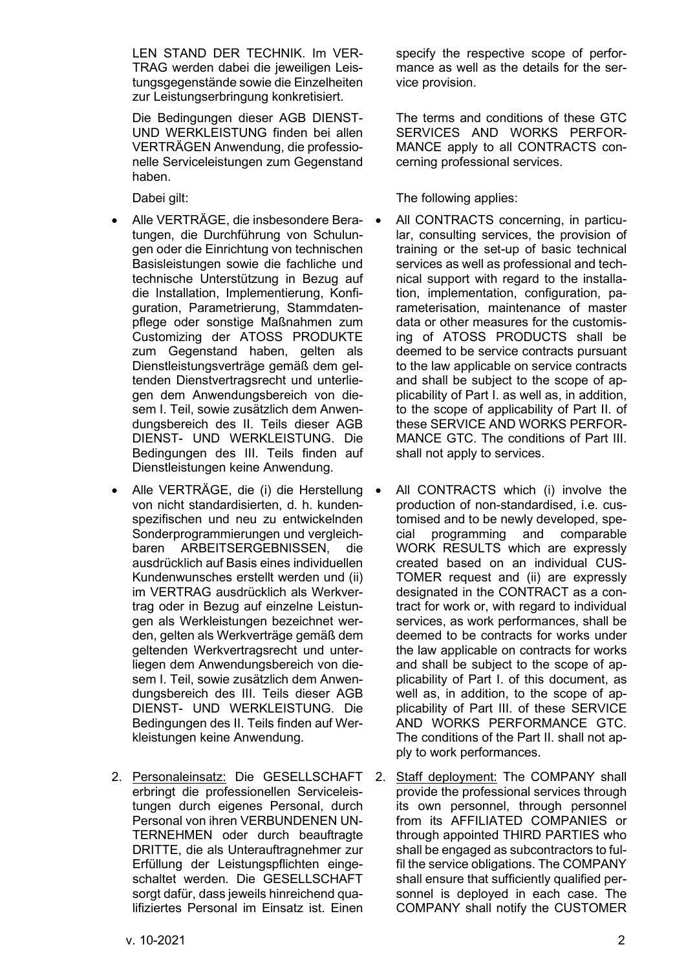LEN STAND DER TECHNIK. Im VER-TRAG werden dabei die jeweiligen Leistungsgegenstände sowie die Einzelheiten zur Leistungserbringung konkretisiert.

Die Bedingungen dieser AGB DIENST-UND WERKLEISTUNG finden bei allen VERTRÄGEN Anwendung, die professionelle Serviceleistungen zum Gegenstand haben.

- Alle VERTRÄGE, die insbesondere Beratungen, die Durchführung von Schulungen oder die Einrichtung von technischen Basisleistungen sowie die fachliche und technische Unterstützung in Bezug auf die Installation, Implementierung, Konfiguration, Parametrierung, Stammdatenpflege oder sonstige Maßnahmen zum Customizing der ATOSS PRODUKTE zum Gegenstand haben, gelten als Dienstleistungsverträge gemäß dem geltenden Dienstvertragsrecht und unterliegen dem Anwendungsbereich von diesem I. Teil, sowie zusätzlich dem Anwendungsbereich des II. Teils dieser AGB DIENST- UND WERKLEISTUNG. Die Bedingungen des III. Teils finden auf Dienstleistungen keine Anwendung.
- Alle VERTRÄGE, die (i) die Herstellung von nicht standardisierten, d. h. kundenspezifischen und neu zu entwickelnden Sonderprogrammierungen und vergleichbaren ARBEITSERGEBNISSEN, die ausdrücklich auf Basis eines individuellen Kundenwunsches erstellt werden und (ii) im VERTRAG ausdrücklich als Werkvertrag oder in Bezug auf einzelne Leistungen als Werkleistungen bezeichnet werden, gelten als Werkverträge gemäß dem geltenden Werkvertragsrecht und unterliegen dem Anwendungsbereich von diesem I. Teil, sowie zusätzlich dem Anwendungsbereich des III. Teils dieser AGB DIENST- UND WERKLEISTUNG. Die Bedingungen des II. Teils finden auf Werkleistungen keine Anwendung.
- 2. Personaleinsatz: Die GESELLSCHAFT erbringt die professionellen Serviceleistungen durch eigenes Personal, durch Personal von ihren VERBUNDENEN UN-TERNEHMEN oder durch beauftragte DRITTE, die als Unterauftragnehmer zur Erfüllung der Leistungspflichten eingeschaltet werden. Die GESELLSCHAFT sorgt dafür, dass jeweils hinreichend qualifiziertes Personal im Einsatz ist. Einen

specify the respective scope of performance as well as the details for the service provision.

The terms and conditions of these GTC SERVICES AND WORKS PERFOR-MANCE apply to all CONTRACTS concerning professional services.

Dabei gilt: Dabei gilt: Dabei gilt: Dabei gilt: Dabei gilt: Dabei gilt: Dabei gilt: Dabei gilt: Dabei gilt: D

- All CONTRACTS concerning, in particular, consulting services, the provision of training or the set-up of basic technical services as well as professional and technical support with regard to the installation, implementation, configuration, parameterisation, maintenance of master data or other measures for the customising of ATOSS PRODUCTS shall be deemed to be service contracts pursuant to the law applicable on service contracts and shall be subject to the scope of applicability of Part I. as well as, in addition, to the scope of applicability of Part II. of these SERVICE AND WORKS PERFOR-MANCE GTC. The conditions of Part III. shall not apply to services.
- All CONTRACTS which (i) involve the production of non-standardised, i.e. customised and to be newly developed, special programming and comparable WORK RESULTS which are expressly created based on an individual CUS-TOMER request and (ii) are expressly designated in the CONTRACT as a contract for work or, with regard to individual services, as work performances, shall be deemed to be contracts for works under the law applicable on contracts for works and shall be subject to the scope of applicability of Part I. of this document, as well as, in addition, to the scope of applicability of Part III. of these SERVICE AND WORKS PERFORMANCE GTC. The conditions of the Part II. shall not apply to work performances.
- 2. Staff deployment: The COMPANY shall provide the professional services through its own personnel, through personnel from its AFFILIATED COMPANIES or through appointed THIRD PARTIES who shall be engaged as subcontractors to fulfil the service obligations. The COMPANY shall ensure that sufficiently qualified personnel is deployed in each case. The COMPANY shall notify the CUSTOMER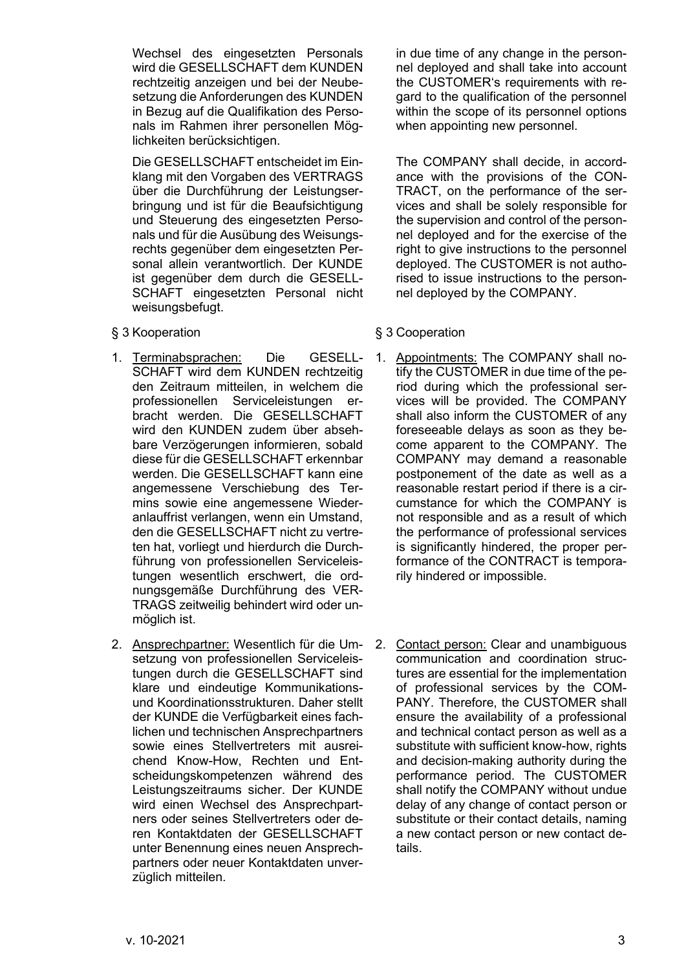Wechsel des eingesetzten Personals wird die GESELLSCHAFT dem KUNDEN rechtzeitig anzeigen und bei der Neubesetzung die Anforderungen des KUNDEN in Bezug auf die Qualifikation des Personals im Rahmen ihrer personellen Möglichkeiten berücksichtigen.

Die GESELLSCHAFT entscheidet im Einklang mit den Vorgaben des VERTRAGS über die Durchführung der Leistungserbringung und ist für die Beaufsichtigung und Steuerung des eingesetzten Personals und für die Ausübung des Weisungsrechts gegenüber dem eingesetzten Personal allein verantwortlich. Der KUNDE ist gegenüber dem durch die GESELL-SCHAFT eingesetzten Personal nicht weisungsbefugt.

- <span id="page-2-0"></span>§ 3 Kooperation **§ 3** Cooperation
- 1. Terminabsprachen: Die GESELL-SCHAFT wird dem KUNDEN rechtzeitig den Zeitraum mitteilen, in welchem die professionellen Serviceleistungen erbracht werden. Die GESELLSCHAFT wird den KUNDEN zudem über absehbare Verzögerungen informieren, sobald diese für die GESELLSCHAFT erkennbar werden. Die GESELLSCHAFT kann eine angemessene Verschiebung des Termins sowie eine angemessene Wiederanlauffrist verlangen, wenn ein Umstand, den die GESELLSCHAFT nicht zu vertreten hat, vorliegt und hierdurch die Durchführung von professionellen Serviceleistungen wesentlich erschwert, die ordnungsgemäße Durchführung des VER-TRAGS zeitweilig behindert wird oder unmöglich ist.
- 2. Ansprechpartner: Wesentlich für die Umsetzung von professionellen Serviceleistungen durch die GESELLSCHAFT sind klare und eindeutige Kommunikationsund Koordinationsstrukturen. Daher stellt der KUNDE die Verfügbarkeit eines fachlichen und technischen Ansprechpartners sowie eines Stellvertreters mit ausreichend Know-How, Rechten und Entscheidungskompetenzen während des Leistungszeitraums sicher. Der KUNDE wird einen Wechsel des Ansprechpartners oder seines Stellvertreters oder deren Kontaktdaten der GESELLSCHAFT unter Benennung eines neuen Ansprechpartners oder neuer Kontaktdaten unverzüglich mitteilen.

in due time of any change in the personnel deployed and shall take into account the CUSTOMER's requirements with regard to the qualification of the personnel within the scope of its personnel options when appointing new personnel.

The COMPANY shall decide, in accordance with the provisions of the CON-TRACT, on the performance of the services and shall be solely responsible for the supervision and control of the personnel deployed and for the exercise of the right to give instructions to the personnel deployed. The CUSTOMER is not authorised to issue instructions to the personnel deployed by the COMPANY.

- 1. Appointments: The COMPANY shall notify the CUSTOMER in due time of the period during which the professional services will be provided. The COMPANY shall also inform the CUSTOMER of any foreseeable delays as soon as they become apparent to the COMPANY. The COMPANY may demand a reasonable postponement of the date as well as a reasonable restart period if there is a circumstance for which the COMPANY is not responsible and as a result of which the performance of professional services is significantly hindered, the proper performance of the CONTRACT is temporarily hindered or impossible.
- 2. Contact person: Clear and unambiguous communication and coordination structures are essential for the implementation of professional services by the COM-PANY. Therefore, the CUSTOMER shall ensure the availability of a professional and technical contact person as well as a substitute with sufficient know-how, rights and decision-making authority during the performance period. The CUSTOMER shall notify the COMPANY without undue delay of any change of contact person or substitute or their contact details, naming a new contact person or new contact details.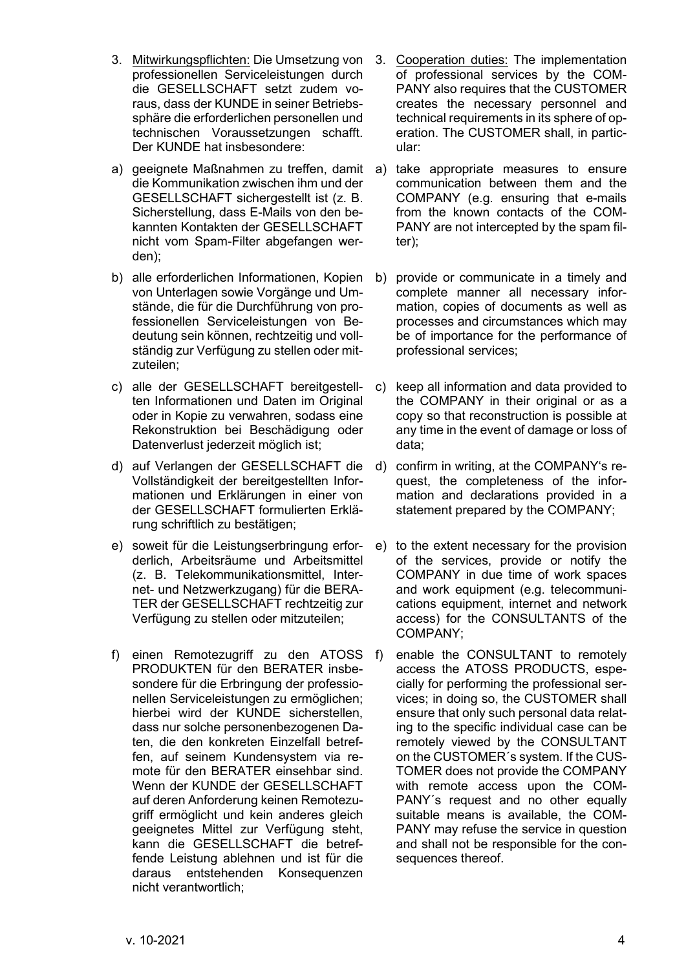- 3. Mitwirkungspflichten: Die Umsetzung von professionellen Serviceleistungen durch die GESELLSCHAFT setzt zudem voraus, dass der KUNDE in seiner Betriebssphäre die erforderlichen personellen und technischen Voraussetzungen schafft. Der KUNDE hat insbesondere:
- a) geeignete Maßnahmen zu treffen, damit die Kommunikation zwischen ihm und der GESELLSCHAFT sichergestellt ist (z. B. Sicherstellung, dass E-Mails von den bekannten Kontakten der GESELLSCHAFT nicht vom Spam-Filter abgefangen werden);
- b) alle erforderlichen Informationen, Kopien von Unterlagen sowie Vorgänge und Umstände, die für die Durchführung von professionellen Serviceleistungen von Bedeutung sein können, rechtzeitig und vollständig zur Verfügung zu stellen oder mitzuteilen;
- c) alle der GESELLSCHAFT bereitgestellten Informationen und Daten im Original oder in Kopie zu verwahren, sodass eine Rekonstruktion bei Beschädigung oder Datenverlust jederzeit möglich ist;
- d) auf Verlangen der GESELLSCHAFT die Vollständigkeit der bereitgestellten Informationen und Erklärungen in einer von der GESELLSCHAFT formulierten Erklärung schriftlich zu bestätigen;
- e) soweit für die Leistungserbringung erforderlich, Arbeitsräume und Arbeitsmittel (z. B. Telekommunikationsmittel, Internet- und Netzwerkzugang) für die BERA-TER der GESELLSCHAFT rechtzeitig zur Verfügung zu stellen oder mitzuteilen;
- f) einen Remotezugriff zu den ATOSS PRODUKTEN für den BERATER insbesondere für die Erbringung der professionellen Serviceleistungen zu ermöglichen; hierbei wird der KUNDE sicherstellen, dass nur solche personenbezogenen Daten, die den konkreten Einzelfall betreffen, auf seinem Kundensystem via remote für den BERATER einsehbar sind. Wenn der KUNDE der GESELLSCHAFT auf deren Anforderung keinen Remotezugriff ermöglicht und kein anderes gleich geeignetes Mittel zur Verfügung steht, kann die GESELLSCHAFT die betreffende Leistung ablehnen und ist für die daraus entstehenden Konsequenzen nicht verantwortlich;
- 3. Cooperation duties: The implementation of professional services by the COM-PANY also requires that the CUSTOMER creates the necessary personnel and technical requirements in its sphere of operation. The CUSTOMER shall, in particular:
- a) take appropriate measures to ensure communication between them and the COMPANY (e.g. ensuring that e-mails from the known contacts of the COM-PANY are not intercepted by the spam filter);
- b) provide or communicate in a timely and complete manner all necessary information, copies of documents as well as processes and circumstances which may be of importance for the performance of professional services;
- c) keep all information and data provided to the COMPANY in their original or as a copy so that reconstruction is possible at any time in the event of damage or loss of data;
- d) confirm in writing, at the COMPANY's request, the completeness of the information and declarations provided in a statement prepared by the COMPANY;
- e) to the extent necessary for the provision of the services, provide or notify the COMPANY in due time of work spaces and work equipment (e.g. telecommunications equipment, internet and network access) for the CONSULTANTS of the COMPANY;
- f) enable the CONSULTANT to remotely access the ATOSS PRODUCTS, especially for performing the professional services; in doing so, the CUSTOMER shall ensure that only such personal data relating to the specific individual case can be remotely viewed by the CONSULTANT on the CUSTOMER´s system. If the CUS-TOMER does not provide the COMPANY with remote access upon the COM-PANY's request and no other equally suitable means is available, the COM-PANY may refuse the service in question and shall not be responsible for the consequences thereof.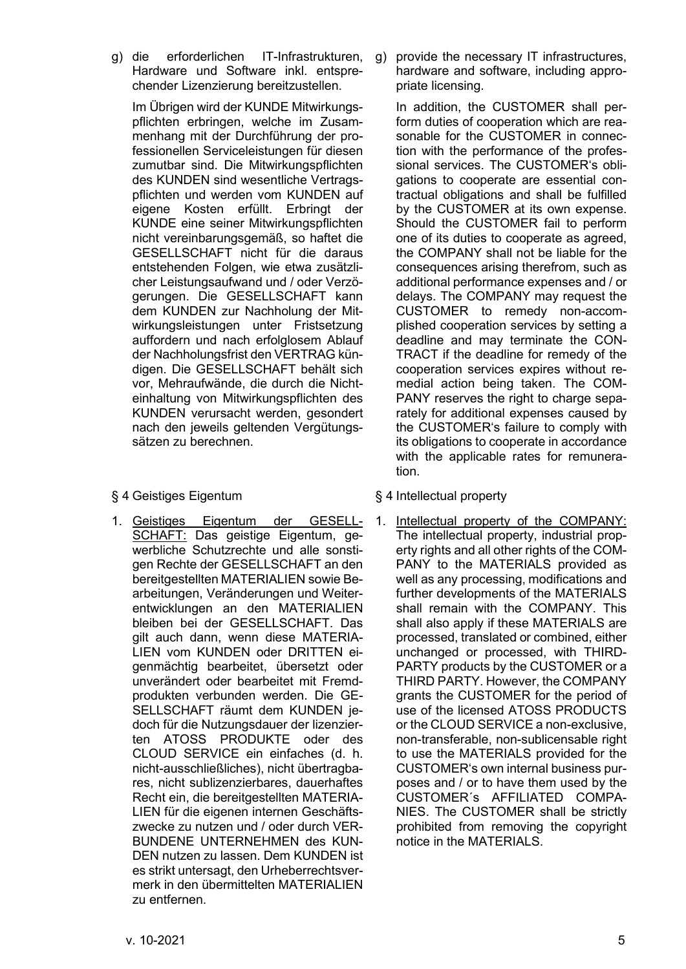g) die erforderlichen IT-Infrastrukturen, Hardware und Software inkl. entsprechender Lizenzierung bereitzustellen.

Im Übrigen wird der KUNDE Mitwirkungspflichten erbringen, welche im Zusammenhang mit der Durchführung der professionellen Serviceleistungen für diesen zumutbar sind. Die Mitwirkungspflichten des KUNDEN sind wesentliche Vertragspflichten und werden vom KUNDEN auf eigene Kosten erfüllt. Erbringt der KUNDE eine seiner Mitwirkungspflichten nicht vereinbarungsgemäß, so haftet die GESELLSCHAFT nicht für die daraus entstehenden Folgen, wie etwa zusätzlicher Leistungsaufwand und / oder Verzögerungen. Die GESELLSCHAFT kann dem KUNDEN zur Nachholung der Mitwirkungsleistungen unter Fristsetzung auffordern und nach erfolglosem Ablauf der Nachholungsfrist den VERTRAG kündigen. Die GESELLSCHAFT behält sich vor, Mehraufwände, die durch die Nichteinhaltung von Mitwirkungspflichten des KUNDEN verursacht werden, gesondert nach den jeweils geltenden Vergütungssätzen zu berechnen.

# <span id="page-4-0"></span>§ 4 Geistiges Eigentum § 4 Intellectual property

1. Geistiges Eigentum der GESELL-SCHAFT: Das geistige Eigentum, gewerbliche Schutzrechte und alle sonstigen Rechte der GESELLSCHAFT an den bereitgestellten MATERIALIEN sowie Bearbeitungen, Veränderungen und Weiterentwicklungen an den MATERIALIEN bleiben bei der GESELLSCHAFT. Das gilt auch dann, wenn diese MATERIA-LIEN vom KUNDEN oder DRITTEN eigenmächtig bearbeitet, übersetzt oder unverändert oder bearbeitet mit Fremdprodukten verbunden werden. Die GE-SELLSCHAFT räumt dem KUNDEN jedoch für die Nutzungsdauer der lizenzierten ATOSS PRODUKTE oder des CLOUD SERVICE ein einfaches (d. h. nicht-ausschließliches), nicht übertragbares, nicht sublizenzierbares, dauerhaftes Recht ein, die bereitgestellten MATERIA-LIEN für die eigenen internen Geschäftszwecke zu nutzen und / oder durch VER-BUNDENE UNTERNEHMEN des KUN-DEN nutzen zu lassen. Dem KUNDEN ist es strikt untersagt, den Urheberrechtsvermerk in den übermittelten MATERIALIEN zu entfernen.

g) provide the necessary IT infrastructures, hardware and software, including appropriate licensing.

In addition, the CUSTOMER shall perform duties of cooperation which are reasonable for the CUSTOMER in connection with the performance of the professional services. The CUSTOMER's obligations to cooperate are essential contractual obligations and shall be fulfilled by the CUSTOMER at its own expense. Should the CUSTOMER fail to perform one of its duties to cooperate as agreed, the COMPANY shall not be liable for the consequences arising therefrom, such as additional performance expenses and / or delays. The COMPANY may request the CUSTOMER to remedy non-accomplished cooperation services by setting a deadline and may terminate the CON-TRACT if the deadline for remedy of the cooperation services expires without remedial action being taken. The COM-PANY reserves the right to charge separately for additional expenses caused by the CUSTOMER's failure to comply with its obligations to cooperate in accordance with the applicable rates for remuneration.

- 
- 1. Intellectual property of the COMPANY: The intellectual property, industrial property rights and all other rights of the COM-PANY to the MATERIALS provided as well as any processing, modifications and further developments of the MATERIALS shall remain with the COMPANY. This shall also apply if these MATERIALS are processed, translated or combined, either unchanged or processed, with THIRD-PARTY products by the CUSTOMER or a THIRD PARTY. However, the COMPANY grants the CUSTOMER for the period of use of the licensed ATOSS PRODUCTS or the CLOUD SERVICE a non-exclusive, non-transferable, non-sublicensable right to use the MATERIALS provided for the CUSTOMER's own internal business purposes and / or to have them used by the CUSTOMER´s AFFILIATED COMPA-NIES. The CUSTOMER shall be strictly prohibited from removing the copyright notice in the MATERIALS.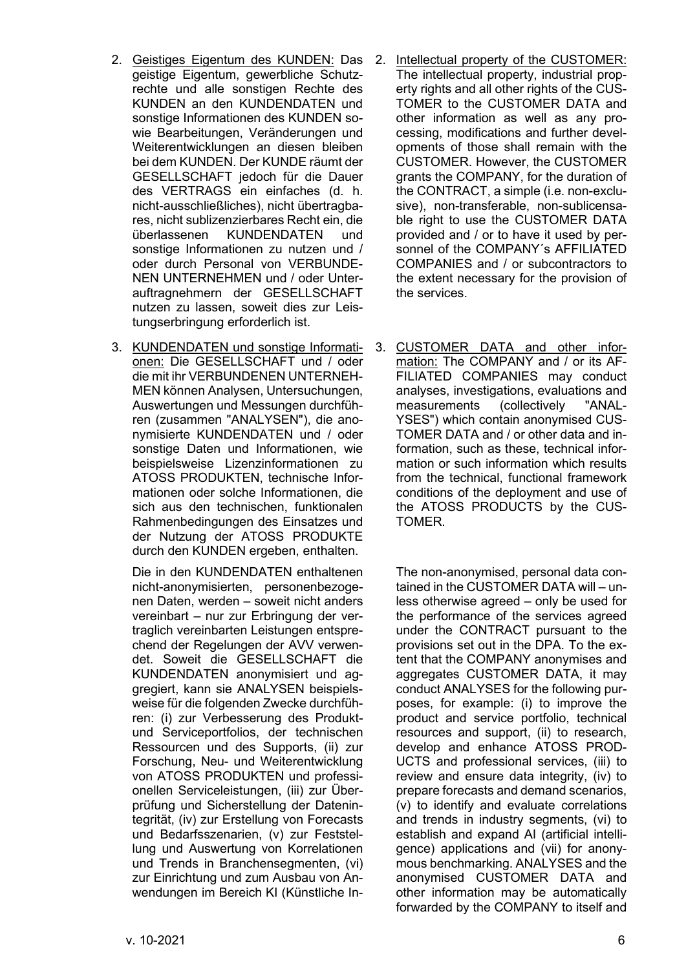- 2. Geistiges Eigentum des KUNDEN: Das geistige Eigentum, gewerbliche Schutzrechte und alle sonstigen Rechte des KUNDEN an den KUNDENDATEN und sonstige Informationen des KUNDEN sowie Bearbeitungen, Veränderungen und Weiterentwicklungen an diesen bleiben bei dem KUNDEN. Der KUNDE räumt der GESELLSCHAFT jedoch für die Dauer des VERTRAGS ein einfaches (d. h. nicht-ausschließliches), nicht übertragbares, nicht sublizenzierbares Recht ein, die überlassenen KUNDENDATEN und sonstige Informationen zu nutzen und / oder durch Personal von VERBUNDE-NEN UNTERNEHMEN und / oder Unterauftragnehmern der GESELLSCHAFT nutzen zu lassen, soweit dies zur Leistungserbringung erforderlich ist.
- 3. KUNDENDATEN und sonstige Informationen: Die GESELLSCHAFT und / oder die mit ihr VERBUNDENEN UNTERNEH-MEN können Analysen, Untersuchungen, Auswertungen und Messungen durchführen (zusammen "ANALYSEN"), die anonymisierte KUNDENDATEN und / oder sonstige Daten und Informationen, wie beispielsweise Lizenzinformationen zu ATOSS PRODUKTEN, technische Informationen oder solche Informationen, die sich aus den technischen, funktionalen Rahmenbedingungen des Einsatzes und der Nutzung der ATOSS PRODUKTE durch den KUNDEN ergeben, enthalten.

Die in den KUNDENDATEN enthaltenen nicht-anonymisierten, personenbezogenen Daten, werden – soweit nicht anders vereinbart – nur zur Erbringung der vertraglich vereinbarten Leistungen entsprechend der Regelungen der AVV verwendet. Soweit die GESELLSCHAFT die KUNDENDATEN anonymisiert und aggregiert, kann sie ANALYSEN beispielsweise für die folgenden Zwecke durchführen: (i) zur Verbesserung des Produktund Serviceportfolios, der technischen Ressourcen und des Supports, (ii) zur Forschung, Neu- und Weiterentwicklung von ATOSS PRODUKTEN und professionellen Serviceleistungen, (iii) zur Überprüfung und Sicherstellung der Datenintegrität, (iv) zur Erstellung von Forecasts und Bedarfsszenarien, (v) zur Feststellung und Auswertung von Korrelationen und Trends in Branchensegmenten, (vi) zur Einrichtung und zum Ausbau von Anwendungen im Bereich KI (Künstliche In-

- 2. Intellectual property of the CUSTOMER: The intellectual property, industrial property rights and all other rights of the CUS-TOMER to the CUSTOMER DATA and other information as well as any processing, modifications and further developments of those shall remain with the CUSTOMER. However, the CUSTOMER grants the COMPANY, for the duration of the CONTRACT, a simple (i.e. non-exclusive), non-transferable, non-sublicensable right to use the CUSTOMER DATA provided and / or to have it used by personnel of the COMPANY´s AFFILIATED COMPANIES and / or subcontractors to the extent necessary for the provision of the services.
- 3. CUSTOMER DATA and other information: The COMPANY and / or its AF-FILIATED COMPANIES may conduct analyses, investigations, evaluations and measurements (collectively "ANAL-YSES") which contain anonymised CUS-TOMER DATA and / or other data and information, such as these, technical information or such information which results from the technical, functional framework conditions of the deployment and use of the ATOSS PRODUCTS by the CUS-TOMER.

The non-anonymised, personal data contained in the CUSTOMER DATA will – unless otherwise agreed – only be used for the performance of the services agreed under the CONTRACT pursuant to the provisions set out in the DPA. To the extent that the COMPANY anonymises and aggregates CUSTOMER DATA, it may conduct ANALYSES for the following purposes, for example: (i) to improve the product and service portfolio, technical resources and support, (ii) to research, develop and enhance ATOSS PROD-UCTS and professional services, (iii) to review and ensure data integrity, (iv) to prepare forecasts and demand scenarios, (v) to identify and evaluate correlations and trends in industry segments, (vi) to establish and expand AI (artificial intelligence) applications and (vii) for anonymous benchmarking. ANALYSES and the anonymised CUSTOMER DATA and other information may be automatically forwarded by the COMPANY to itself and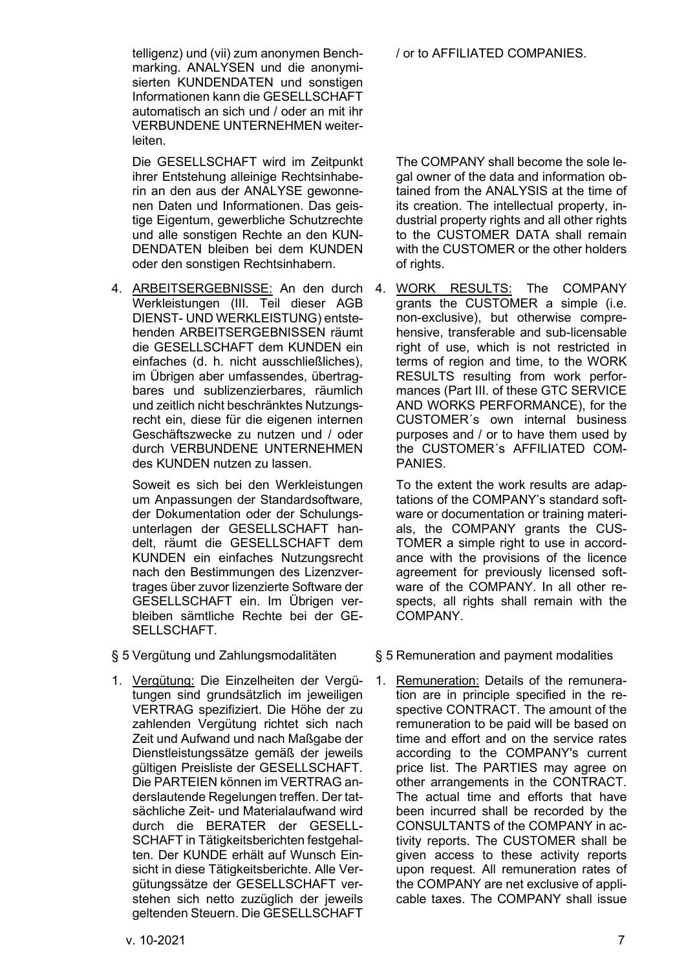telligenz) und (vii) zum anonymen Benchmarking. ANALYSEN und die anonymisierten KUNDENDATEN und sonstigen Informationen kann die GESELLSCHAFT automatisch an sich und / oder an mit ihr VERBUNDENE UNTERNEHMEN weiterleiten.

Die GESELLSCHAFT wird im Zeitpunkt ihrer Entstehung alleinige Rechtsinhaberin an den aus der ANALYSE gewonnenen Daten und Informationen. Das geistige Eigentum, gewerbliche Schutzrechte und alle sonstigen Rechte an den KUN-DENDATEN bleiben bei dem KUNDEN oder den sonstigen Rechtsinhabern.

4. <u>ARBEITSERGEBNISSE:</u> An den durch 4. <u>WORK RESULTS:</u> The COMPANY Werkleistungen (III. Teil dieser AGB DIENST- UND WERKLEISTUNG) entstehenden ARBEITSERGEBNISSEN räumt die GESELLSCHAFT dem KUNDEN ein einfaches (d. h. nicht ausschließliches), im Übrigen aber umfassendes, übertragbares und sublizenzierbares, räumlich und zeitlich nicht beschränktes Nutzungsrecht ein, diese für die eigenen internen Geschäftszwecke zu nutzen und / oder durch VERBUNDENE UNTERNEHMEN des KUNDEN nutzen zu lassen.

Soweit es sich bei den Werkleistungen um Anpassungen der Standardsoftware, der Dokumentation oder der Schulungsunterlagen der GESELLSCHAFT handelt, räumt die GESELLSCHAFT dem KUNDEN ein einfaches Nutzungsrecht nach den Bestimmungen des Lizenzvertrages über zuvor lizenzierte Software der GESELLSCHAFT ein. Im Übrigen verbleiben sämtliche Rechte bei der GE-SELL SCHAFT.

1. Vergütung: Die Einzelheiten der Vergütungen sind grundsätzlich im jeweiligen VERTRAG spezifiziert. Die Höhe der zu zahlenden Vergütung richtet sich nach Zeit und Aufwand und nach Maßgabe der Dienstleistungssätze gemäß der jeweils gültigen Preisliste der GESELLSCHAFT. Die PARTEIEN können im VERTRAG anderslautende Regelungen treffen. Der tatsächliche Zeit- und Materialaufwand wird durch die BERATER der GESELL-SCHAFT in Tätigkeitsberichten festgehalten. Der KUNDE erhält auf Wunsch Einsicht in diese Tätigkeitsberichte. Alle Vergütungssätze der GESELLSCHAFT verstehen sich netto zuzüglich der jeweils geltenden Steuern. Die GESELLSCHAFT

/ or to AFFILIATED COMPANIES.

The COMPANY shall become the sole legal owner of the data and information obtained from the ANALYSIS at the time of its creation. The intellectual property, industrial property rights and all other rights to the CUSTOMER DATA shall remain with the CUSTOMER or the other holders of rights.

grants the CUSTOMER a simple (i.e. non-exclusive), but otherwise comprehensive, transferable and sub-licensable right of use, which is not restricted in terms of region and time, to the WORK RESULTS resulting from work performances (Part III. of these GTC SERVICE AND WORKS PERFORMANCE), for the CUSTOMER´s own internal business purposes and / or to have them used by the CUSTOMER´s AFFILIATED COM-PANIES.

To the extent the work results are adaptations of the COMPANY's standard software or documentation or training materials, the COMPANY grants the CUS-TOMER a simple right to use in accordance with the provisions of the licence agreement for previously licensed software of the COMPANY. In all other respects, all rights shall remain with the COMPANY.

§ 5 Vergütung und Zahlungsmodalitäten § 5 Remuneration and payment modalities

1. Remuneration: Details of the remuneration are in principle specified in the respective CONTRACT. The amount of the remuneration to be paid will be based on time and effort and on the service rates according to the COMPANY's current price list. The PARTIES may agree on other arrangements in the CONTRACT. The actual time and efforts that have been incurred shall be recorded by the CONSULTANTS of the COMPANY in activity reports. The CUSTOMER shall be given access to these activity reports upon request. All remuneration rates of the COMPANY are net exclusive of applicable taxes. The COMPANY shall issue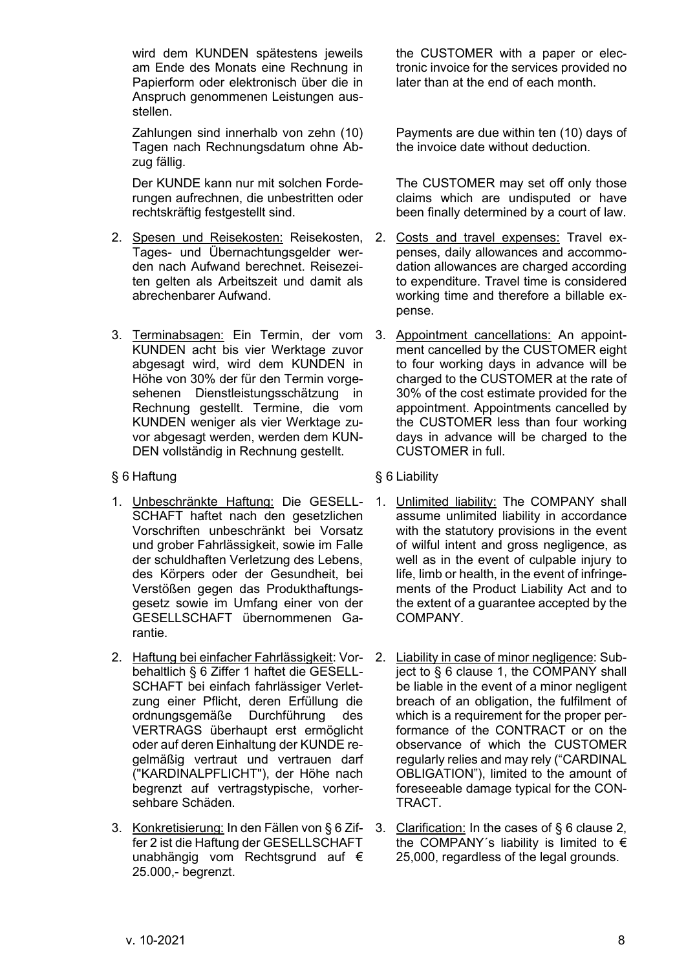wird dem KUNDEN spätestens jeweils am Ende des Monats eine Rechnung in Papierform oder elektronisch über die in Anspruch genommenen Leistungen ausstellen.

Zahlungen sind innerhalb von zehn (10) Tagen nach Rechnungsdatum ohne Abzug fällig.

Der KUNDE kann nur mit solchen Forderungen aufrechnen, die unbestritten oder rechtskräftig festgestellt sind.

- 2. Spesen und Reisekosten: Reisekosten, Tages- und Übernachtungsgelder werden nach Aufwand berechnet. Reisezeiten gelten als Arbeitszeit und damit als abrechenbarer Aufwand.
- 3. Terminabsagen: Ein Termin, der vom KUNDEN acht bis vier Werktage zuvor abgesagt wird, wird dem KUNDEN in Höhe von 30% der für den Termin vorgesehenen Dienstleistungsschätzung in Rechnung gestellt. Termine, die vom KUNDEN weniger als vier Werktage zuvor abgesagt werden, werden dem KUN-DEN vollständig in Rechnung gestellt.
- <span id="page-7-0"></span>§ 6 Haftung § 6 Liability
- 1. Unbeschränkte Haftung: Die GESELL-SCHAFT haftet nach den gesetzlichen Vorschriften unbeschränkt bei Vorsatz und grober Fahrlässigkeit, sowie im Falle der schuldhaften Verletzung des Lebens, des Körpers oder der Gesundheit, bei Verstößen gegen das Produkthaftungsgesetz sowie im Umfang einer von der GESELLSCHAFT übernommenen Garantie.
- <span id="page-7-1"></span>2. Haftung bei einfacher Fahrlässigkeit: Vorbehaltlich [§ 6](#page-7-0) Ziffer 1 haftet die GESELL-SCHAFT bei einfach fahrlässiger Verletzung einer Pflicht, deren Erfüllung die ordnungsgemäße Durchführung des VERTRAGS überhaupt erst ermöglicht oder auf deren Einhaltung der KUNDE regelmäßig vertraut und vertrauen darf ("KARDINALPFLICHT"), der Höhe nach begrenzt auf vertragstypische, vorhersehbare Schäden.
- 3. Konkretisierung: In den Fällen von [§ 6](#page-7-0) Ziffer 2 ist die Haftung der GESELLSCHAFT unabhängig vom Rechtsgrund auf € 25.000,- begrenzt.

the CUSTOMER with a paper or electronic invoice for the services provided no later than at the end of each month.

Payments are due within ten (10) days of the invoice date without deduction.

The CUSTOMER may set off only those claims which are undisputed or have been finally determined by a court of law.

- 2. Costs and travel expenses: Travel expenses, daily allowances and accommodation allowances are charged according to expenditure. Travel time is considered working time and therefore a billable expense.
- 3. Appointment cancellations: An appointment cancelled by the CUSTOMER eight to four working days in advance will be charged to the CUSTOMER at the rate of 30% of the cost estimate provided for the appointment. Appointments cancelled by the CUSTOMER less than four working days in advance will be charged to the CUSTOMER in full.
- 
- 1. Unlimited liability: The COMPANY shall assume unlimited liability in accordance with the statutory provisions in the event of wilful intent and gross negligence, as well as in the event of culpable injury to life, limb or health, in the event of infringements of the Product Liability Act and to the extent of a guarantee accepted by the COMPANY.
- 2. Liability in case of minor negligence: Subject to § 6 clause 1, the COMPANY shall be liable in the event of a minor negligent breach of an obligation, the fulfilment of which is a requirement for the proper performance of the CONTRACT or on the observance of which the CUSTOMER regularly relies and may rely ("CARDINAL OBLIGATION"), limited to the amount of foreseeable damage typical for the CON-TRACT.
- 3. Clarification: In the cases of § 6 clause 2, the COMPANY's liability is limited to  $\epsilon$ 25,000, regardless of the legal grounds.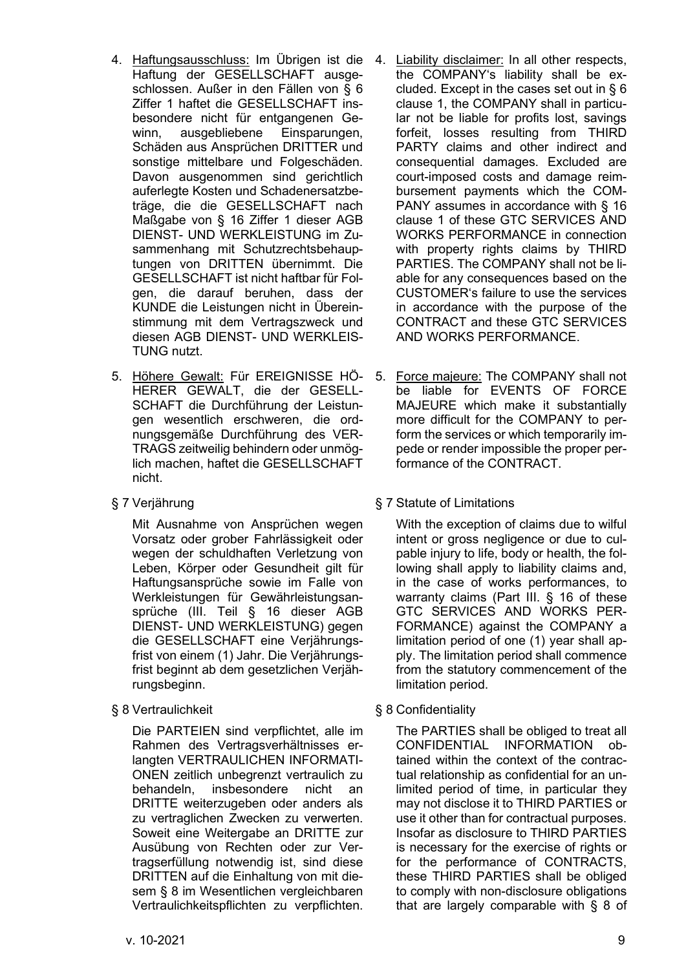- 4. Haftungsausschluss: Im Übrigen ist die Haftung der GESELLSCHAFT ausgeschlossen. Außer in den Fällen von [§ 6](#page-7-0) Ziffer 1 haftet die GESELLSCHAFT insbesondere nicht für entgangenen Gewinn, ausgebliebene Einsparungen, Schäden aus Ansprüchen DRITTER und sonstige mittelbare und Folgeschäden. Davon ausgenommen sind gerichtlich auferlegte Kosten und Schadenersatzbeträge, die die GESELLSCHAFT nach Maßgabe von [§ 16](#page-17-0) Ziffer [1](#page-17-1) dieser AGB DIENST- UND WERKLEISTUNG im Zusammenhang mit Schutzrechtsbehauptungen von DRITTEN übernimmt. Die GESELLSCHAFT ist nicht haftbar für Folgen, die darauf beruhen, dass der KUNDE die Leistungen nicht in Übereinstimmung mit dem Vertragszweck und diesen AGB DIENST- UND WERKLEIS-TUNG nutzt.
- 5. Höhere Gewalt: Für EREIGNISSE HÖ- 5. Force majeure: The COMPANY shall not HERER GEWALT, die der GESELL-SCHAFT die Durchführung der Leistungen wesentlich erschweren, die ordnungsgemäße Durchführung des VER-TRAGS zeitweilig behindern oder unmöglich machen, haftet die GESELLSCHAFT nicht.
- 

Mit Ausnahme von Ansprüchen wegen Vorsatz oder grober Fahrlässigkeit oder wegen der schuldhaften Verletzung von Leben, Körper oder Gesundheit gilt für Haftungsansprüche sowie im Falle von Werkleistungen für Gewährleistungsansprüche (III. Teil [§ 16](#page-17-0) dieser AGB DIENST- UND WERKLEISTUNG) gegen die GESELLSCHAFT eine Verjährungsfrist von einem (1) Jahr. Die Verjährungsfrist beginnt ab dem gesetzlichen Verjährungsbeginn.

<span id="page-8-0"></span>§ 8 Vertraulichkeit § 8 Confidentiality

Die PARTEIEN sind verpflichtet, alle im Rahmen des Vertragsverhältnisses erlangten VERTRAULICHEN INFORMATI-ONEN zeitlich unbegrenzt vertraulich zu behandeln, insbesondere nicht an DRITTE weiterzugeben oder anders als zu vertraglichen Zwecken zu verwerten. Soweit eine Weitergabe an DRITTE zur Ausübung von Rechten oder zur Vertragserfüllung notwendig ist, sind diese DRITTEN auf die Einhaltung von mit diesem [§ 8](#page-8-0) im Wesentlichen vergleichbaren Vertraulichkeitspflichten zu verpflichten.

- 4. Liability disclaimer: In all other respects, the COMPANY's liability shall be excluded. Except in the cases set out in § 6 clause 1, the COMPANY shall in particular not be liable for profits lost, savings forfeit, losses resulting from THIRD PARTY claims and other indirect and consequential damages. Excluded are court-imposed costs and damage reimbursement payments which the COM-PANY assumes in accordance with § 16 clause 1 of these GTC SERVICES AND WORKS PERFORMANCE in connection with property rights claims by THIRD PARTIES. The COMPANY shall not be liable for any consequences based on the CUSTOMER's failure to use the services in accordance with the purpose of the CONTRACT and these GTC SERVICES AND WORKS PERFORMANCE.
- be liable for EVENTS OF FORCE MAJEURE which make it substantially more difficult for the COMPANY to perform the services or which temporarily impede or render impossible the proper performance of the CONTRACT.

# § 7 Verjährung § 7 Statute of Limitations

With the exception of claims due to wilful intent or gross negligence or due to culpable injury to life, body or health, the following shall apply to liability claims and, in the case of works performances, to warranty claims (Part III. § 16 of these GTC SERVICES AND WORKS PER-FORMANCE) against the COMPANY a limitation period of one (1) year shall apply. The limitation period shall commence from the statutory commencement of the limitation period.

The PARTIES shall be obliged to treat all CONFIDENTIAL INFORMATION obtained within the context of the contractual relationship as confidential for an unlimited period of time, in particular they may not disclose it to THIRD PARTIES or use it other than for contractual purposes. Insofar as disclosure to THIRD PARTIES is necessary for the exercise of rights or for the performance of CONTRACTS, these THIRD PARTIES shall be obliged to comply with non-disclosure obligations that are largely comparable with [§ 8](#page-8-0) of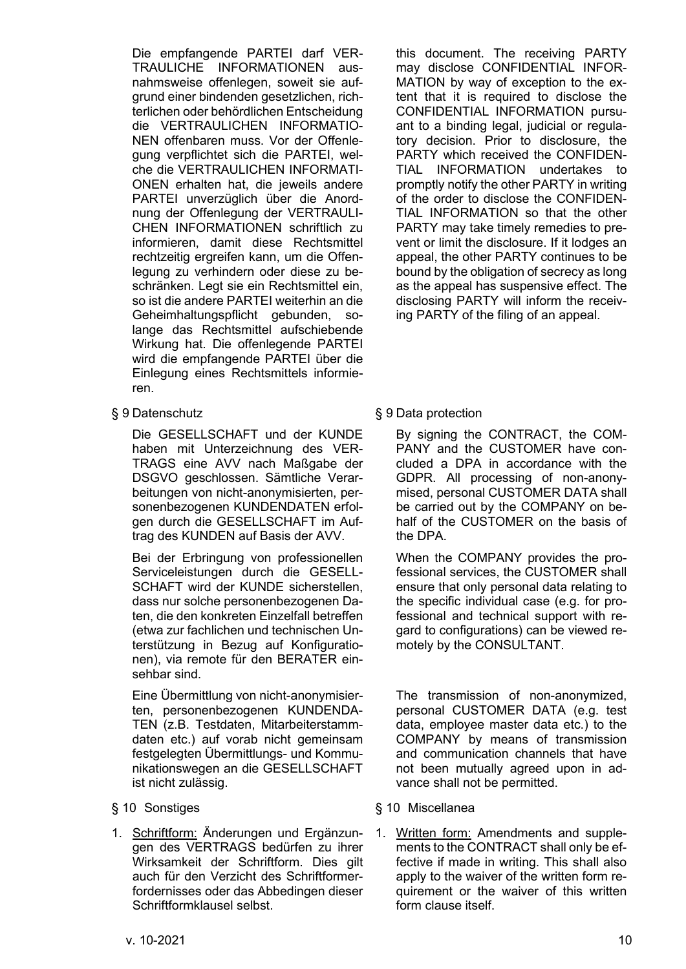Die empfangende PARTEI darf VER-TRAULICHE INFORMATIONEN ausnahmsweise offenlegen, soweit sie aufgrund einer bindenden gesetzlichen, richterlichen oder behördlichen Entscheidung die VERTRAULICHEN INFORMATIO-NEN offenbaren muss. Vor der Offenlegung verpflichtet sich die PARTEI, welche die VERTRAULICHEN INFORMATI-ONEN erhalten hat, die jeweils andere PARTEI unverzüglich über die Anordnung der Offenlegung der VERTRAULI-CHEN INFORMATIONEN schriftlich zu informieren, damit diese Rechtsmittel rechtzeitig ergreifen kann, um die Offenlegung zu verhindern oder diese zu beschränken. Legt sie ein Rechtsmittel ein, so ist die andere PARTEI weiterhin an die Geheimhaltungspflicht gebunden, solange das Rechtsmittel aufschiebende Wirkung hat. Die offenlegende PARTEI wird die empfangende PARTEI über die Einlegung eines Rechtsmittels informieren.

Die GESELLSCHAFT und der KUNDE haben mit Unterzeichnung des VER-TRAGS eine AVV nach Maßgabe der DSGVO geschlossen. Sämtliche Verarbeitungen von nicht-anonymisierten, personenbezogenen KUNDENDATEN erfolgen durch die GESELLSCHAFT im Auftrag des KUNDEN auf Basis der AVV.

Bei der Erbringung von professionellen Serviceleistungen durch die GESELL-SCHAFT wird der KUNDE sicherstellen, dass nur solche personenbezogenen Daten, die den konkreten Einzelfall betreffen (etwa zur fachlichen und technischen Unterstützung in Bezug auf Konfigurationen), via remote für den BERATER einsehbar sind.

Eine Übermittlung von nicht-anonymisierten, personenbezogenen KUNDENDA-TEN (z.B. Testdaten, Mitarbeiterstammdaten etc.) auf vorab nicht gemeinsam festgelegten Übermittlungs- und Kommunikationswegen an die GESELLSCHAFT ist nicht zulässig.

1. Schriftform: Änderungen und Ergänzungen des VERTRAGS bedürfen zu ihrer Wirksamkeit der Schriftform. Dies gilt auch für den Verzicht des Schriftformerfordernisses oder das Abbedingen dieser Schriftformklausel selbst.

this document. The receiving PARTY may disclose CONFIDENTIAL INFOR-MATION by way of exception to the extent that it is required to disclose the CONFIDENTIAL INFORMATION pursuant to a binding legal, judicial or regulatory decision. Prior to disclosure, the PARTY which received the CONFIDEN-TIAL INFORMATION undertakes to promptly notify the other PARTY in writing of the order to disclose the CONFIDEN-TIAL INFORMATION so that the other PARTY may take timely remedies to prevent or limit the disclosure. If it lodges an appeal, the other PARTY continues to be bound by the obligation of secrecy as long as the appeal has suspensive effect. The disclosing PARTY will inform the receiving PARTY of the filing of an appeal.

§ 9 Datenschutz § 9 Data protection

By signing the CONTRACT, the COM-PANY and the CUSTOMER have concluded a DPA in accordance with the GDPR. All processing of non-anonymised, personal CUSTOMER DATA shall be carried out by the COMPANY on behalf of the CUSTOMER on the basis of the DPA.

When the COMPANY provides the professional services, the CUSTOMER shall ensure that only personal data relating to the specific individual case (e.g. for professional and technical support with regard to configurations) can be viewed remotely by the CONSULTANT.

The transmission of non-anonymized, personal CUSTOMER DATA (e.g. test data, employee master data etc.) to the COMPANY by means of transmission and communication channels that have not been mutually agreed upon in advance shall not be permitted.

- § 10 Sonstiges § 10 Miscellanea
	- 1. Written form: Amendments and supplements to the CONTRACT shall only be effective if made in writing. This shall also apply to the waiver of the written form requirement or the waiver of this written form clause itself.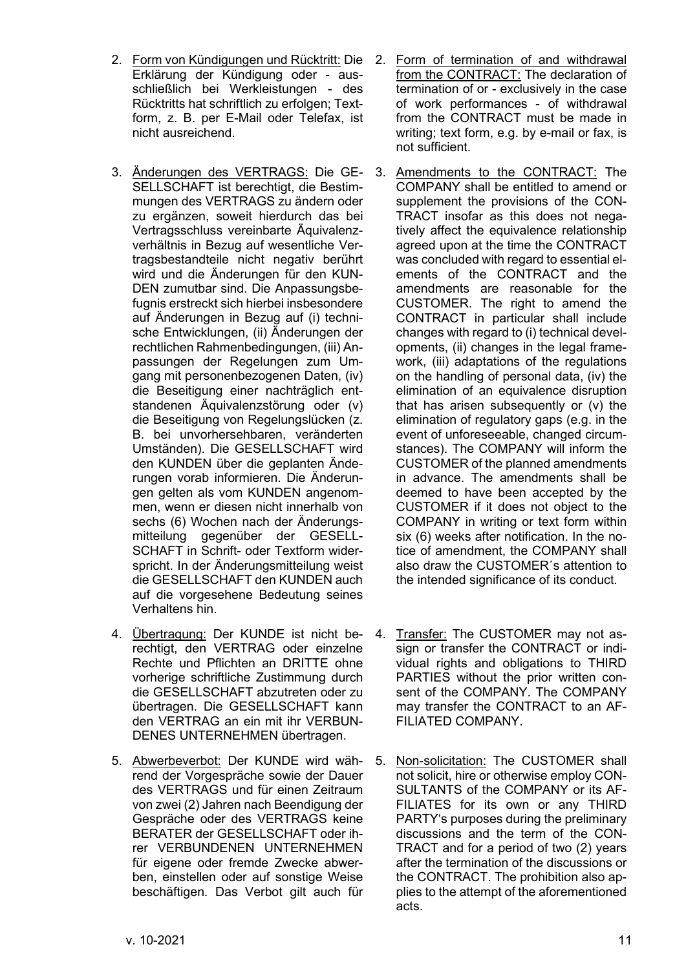- 2. Form von Kündigungen und Rücktritt: Die Erklärung der Kündigung oder - ausschließlich bei Werkleistungen - des Rücktritts hat schriftlich zu erfolgen; Textform, z. B. per E-Mail oder Telefax, ist nicht ausreichend.
- 3. Änderungen des VERTRAGS: Die GE-SELLSCHAFT ist berechtigt, die Bestimmungen des VERTRAGS zu ändern oder zu ergänzen, soweit hierdurch das bei Vertragsschluss vereinbarte Äquivalenzverhältnis in Bezug auf wesentliche Vertragsbestandteile nicht negativ berührt wird und die Änderungen für den KUN-DEN zumutbar sind. Die Anpassungsbefugnis erstreckt sich hierbei insbesondere auf Änderungen in Bezug auf (i) technische Entwicklungen, (ii) Änderungen der rechtlichen Rahmenbedingungen, (iii) Anpassungen der Regelungen zum Umgang mit personenbezogenen Daten, (iv) die Beseitigung einer nachträglich entstandenen Äquivalenzstörung oder (v) die Beseitigung von Regelungslücken (z. B. bei unvorhersehbaren, veränderten Umständen). Die GESELLSCHAFT wird den KUNDEN über die geplanten Änderungen vorab informieren. Die Änderungen gelten als vom KUNDEN angenommen, wenn er diesen nicht innerhalb von sechs (6) Wochen nach der Änderungsmitteilung gegenüber der GESELL-SCHAFT in Schrift- oder Textform widerspricht. In der Änderungsmitteilung weist die GESELLSCHAFT den KUNDEN auch auf die vorgesehene Bedeutung seines Verhaltens hin.
- 4. Übertragung: Der KUNDE ist nicht berechtigt, den VERTRAG oder einzelne Rechte und Pflichten an DRITTE ohne vorherige schriftliche Zustimmung durch die GESELLSCHAFT abzutreten oder zu übertragen. Die GESELLSCHAFT kann den VERTRAG an ein mit ihr VERBUN-DENES UNTERNEHMEN übertragen.
- 5. Abwerbeverbot: Der KUNDE wird während der Vorgespräche sowie der Dauer des VERTRAGS und für einen Zeitraum von zwei (2) Jahren nach Beendigung der Gespräche oder des VERTRAGS keine BERATER der GESELLSCHAFT oder ihrer VERBUNDENEN UNTERNEHMEN für eigene oder fremde Zwecke abwerben, einstellen oder auf sonstige Weise beschäftigen. Das Verbot gilt auch für
- 2. Form of termination of and withdrawal from the CONTRACT: The declaration of termination of or - exclusively in the case of work performances - of withdrawal from the CONTRACT must be made in writing; text form, e.g. by e-mail or fax, is not sufficient.
- 3. Amendments to the CONTRACT: The COMPANY shall be entitled to amend or supplement the provisions of the CON-TRACT insofar as this does not negatively affect the equivalence relationship agreed upon at the time the CONTRACT was concluded with regard to essential elements of the CONTRACT and the amendments are reasonable for the CUSTOMER. The right to amend the CONTRACT in particular shall include changes with regard to (i) technical developments, (ii) changes in the legal framework, (iii) adaptations of the regulations on the handling of personal data, (iv) the elimination of an equivalence disruption that has arisen subsequently or (v) the elimination of regulatory gaps (e.g. in the event of unforeseeable, changed circumstances). The COMPANY will inform the CUSTOMER of the planned amendments in advance. The amendments shall be deemed to have been accepted by the CUSTOMER if it does not object to the COMPANY in writing or text form within six (6) weeks after notification. In the notice of amendment, the COMPANY shall also draw the CUSTOMER´s attention to the intended significance of its conduct.
- 4. Transfer: The CUSTOMER may not assign or transfer the CONTRACT or individual rights and obligations to THIRD PARTIES without the prior written consent of the COMPANY. The COMPANY may transfer the CONTRACT to an AF-FILIATED COMPANY.
- 5. Non-solicitation: The CUSTOMER shall not solicit, hire or otherwise employ CON-SULTANTS of the COMPANY or its AF-FILIATES for its own or any THIRD PARTY's purposes during the preliminary discussions and the term of the CON-TRACT and for a period of two (2) years after the termination of the discussions or the CONTRACT. The prohibition also applies to the attempt of the aforementioned acts.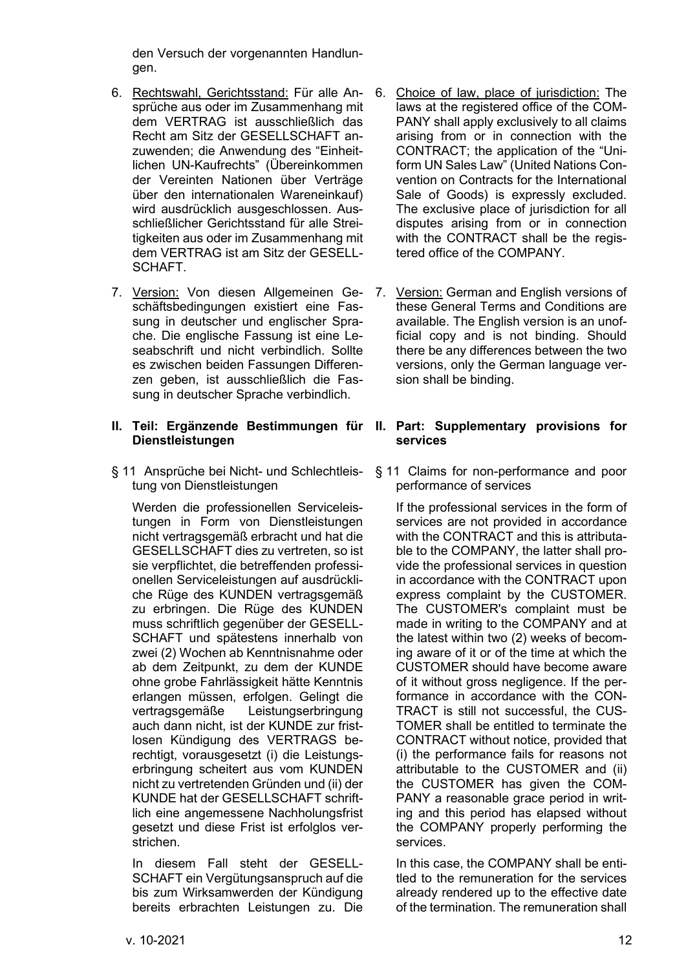den Versuch der vorgenannten Handlungen.

- 6. Rechtswahl, Gerichtsstand: Für alle Ansprüche aus oder im Zusammenhang mit dem VERTRAG ist ausschließlich das Recht am Sitz der GESELLSCHAFT anzuwenden; die Anwendung des "Einheitlichen UN-Kaufrechts" (Übereinkommen der Vereinten Nationen über Verträge über den internationalen Wareneinkauf) wird ausdrücklich ausgeschlossen. Ausschließlicher Gerichtsstand für alle Streitigkeiten aus oder im Zusammenhang mit dem VERTRAG ist am Sitz der GESELL-SCHAFT.
- 7. Version: Von diesen Allgemeinen Geschäftsbedingungen existiert eine Fassung in deutscher und englischer Sprache. Die englische Fassung ist eine Leseabschrift und nicht verbindlich. Sollte es zwischen beiden Fassungen Differenzen geben, ist ausschließlich die Fassung in deutscher Sprache verbindlich.

## **II. Teil: Ergänzende Bestimmungen für II. Part: Supplementary provisions for Dienstleistungen**

§ 11 Ansprüche bei Nicht- und Schlechtleistung von Dienstleistungen

Werden die professionellen Serviceleistungen in Form von Dienstleistungen nicht vertragsgemäß erbracht und hat die GESELLSCHAFT dies zu vertreten, so ist sie verpflichtet, die betreffenden professionellen Serviceleistungen auf ausdrückliche Rüge des KUNDEN vertragsgemäß zu erbringen. Die Rüge des KUNDEN muss schriftlich gegenüber der GESELL-SCHAFT und spätestens innerhalb von zwei (2) Wochen ab Kenntnisnahme oder ab dem Zeitpunkt, zu dem der KUNDE ohne grobe Fahrlässigkeit hätte Kenntnis erlangen müssen, erfolgen. Gelingt die vertragsgemäße Leistungserbringung auch dann nicht, ist der KUNDE zur fristlosen Kündigung des VERTRAGS berechtigt, vorausgesetzt (i) die Leistungserbringung scheitert aus vom KUNDEN nicht zu vertretenden Gründen und (ii) der KUNDE hat der GESELLSCHAFT schriftlich eine angemessene Nachholungsfrist gesetzt und diese Frist ist erfolglos verstrichen.

In diesem Fall steht der GESELL-SCHAFT ein Vergütungsanspruch auf die bis zum Wirksamwerden der Kündigung bereits erbrachten Leistungen zu. Die

- 6. Choice of law, place of jurisdiction: The laws at the registered office of the COM-PANY shall apply exclusively to all claims arising from or in connection with the CONTRACT; the application of the "Uniform UN Sales Law" (United Nations Convention on Contracts for the International Sale of Goods) is expressly excluded. The exclusive place of jurisdiction for all disputes arising from or in connection with the CONTRACT shall be the registered office of the COMPANY.
- 7. Version: German and English versions of these General Terms and Conditions are available. The English version is an unofficial copy and is not binding. Should there be any differences between the two versions, only the German language version shall be binding.

# **services**

§ 11 Claims for non-performance and poor performance of services

If the professional services in the form of services are not provided in accordance with the CONTRACT and this is attributable to the COMPANY, the latter shall provide the professional services in question in accordance with the CONTRACT upon express complaint by the CUSTOMER. The CUSTOMER's complaint must be made in writing to the COMPANY and at the latest within two (2) weeks of becoming aware of it or of the time at which the CUSTOMER should have become aware of it without gross negligence. If the performance in accordance with the CON-TRACT is still not successful, the CUS-TOMER shall be entitled to terminate the CONTRACT without notice, provided that (i) the performance fails for reasons not attributable to the CUSTOMER and (ii) the CUSTOMER has given the COM-PANY a reasonable grace period in writing and this period has elapsed without the COMPANY properly performing the services.

In this case, the COMPANY shall be entitled to the remuneration for the services already rendered up to the effective date of the termination. The remuneration shall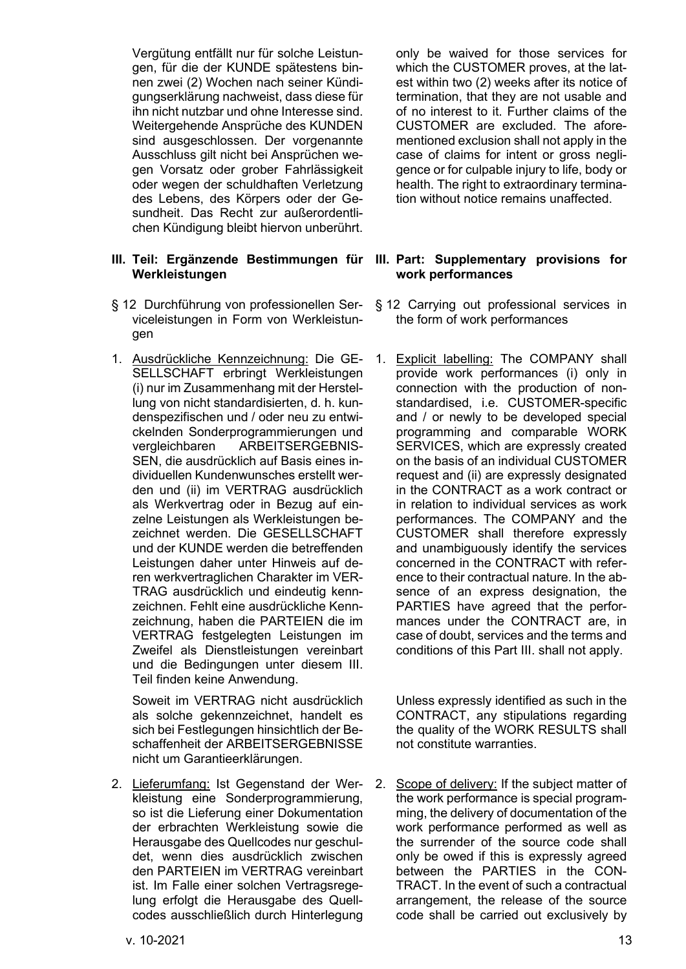Vergütung entfällt nur für solche Leistungen, für die der KUNDE spätestens binnen zwei (2) Wochen nach seiner Kündigungserklärung nachweist, dass diese für ihn nicht nutzbar und ohne Interesse sind. Weitergehende Ansprüche des KUNDEN sind ausgeschlossen. Der vorgenannte Ausschluss gilt nicht bei Ansprüchen wegen Vorsatz oder grober Fahrlässigkeit oder wegen der schuldhaften Verletzung des Lebens, des Körpers oder der Gesundheit. Das Recht zur außerordentlichen Kündigung bleibt hiervon unberührt.

## **III. Teil: Ergänzende Bestimmungen für Werkleistungen**

- § 12 Durchführung von professionellen Serviceleistungen in Form von Werkleistungen
- 1. Ausdrückliche Kennzeichnung: Die GE-SELLSCHAFT erbringt Werkleistungen (i) nur im Zusammenhang mit der Herstellung von nicht standardisierten, d. h. kundenspezifischen und / oder neu zu entwickelnden Sonderprogrammierungen und vergleichbaren ARBEITSERGEBNIS-SEN, die ausdrücklich auf Basis eines individuellen Kundenwunsches erstellt werden und (ii) im VERTRAG ausdrücklich als Werkvertrag oder in Bezug auf einzelne Leistungen als Werkleistungen bezeichnet werden. Die GESELLSCHAFT und der KUNDE werden die betreffenden Leistungen daher unter Hinweis auf deren werkvertraglichen Charakter im VER-TRAG ausdrücklich und eindeutig kennzeichnen. Fehlt eine ausdrückliche Kennzeichnung, haben die PARTEIEN die im VERTRAG festgelegten Leistungen im Zweifel als Dienstleistungen vereinbart und die Bedingungen unter diesem III. Teil finden keine Anwendung.

Soweit im VERTRAG nicht ausdrücklich als solche gekennzeichnet, handelt es sich bei Festlegungen hinsichtlich der Beschaffenheit der ARBEITSERGEBNISSE nicht um Garantieerklärungen.

2. Lieferumfang: Ist Gegenstand der Werkleistung eine Sonderprogrammierung, so ist die Lieferung einer Dokumentation der erbrachten Werkleistung sowie die Herausgabe des Quellcodes nur geschuldet, wenn dies ausdrücklich zwischen den PARTEIEN im VERTRAG vereinbart ist. Im Falle einer solchen Vertragsregelung erfolgt die Herausgabe des Quellcodes ausschließlich durch Hinterlegung only be waived for those services for which the CUSTOMER proves, at the latest within two (2) weeks after its notice of termination, that they are not usable and of no interest to it. Further claims of the CUSTOMER are excluded. The aforementioned exclusion shall not apply in the case of claims for intent or gross negligence or for culpable injury to life, body or health. The right to extraordinary termination without notice remains unaffected.

## **III. Part: Supplementary provisions for work performances**

- § 12 Carrying out professional services in the form of work performances
- 1. Explicit labelling: The COMPANY shall provide work performances (i) only in connection with the production of nonstandardised, i.e. CUSTOMER-specific and / or newly to be developed special programming and comparable WORK SERVICES, which are expressly created on the basis of an individual CUSTOMER request and (ii) are expressly designated in the CONTRACT as a work contract or in relation to individual services as work performances. The COMPANY and the CUSTOMER shall therefore expressly and unambiguously identify the services concerned in the CONTRACT with reference to their contractual nature. In the absence of an express designation, the PARTIES have agreed that the performances under the CONTRACT are, in case of doubt, services and the terms and conditions of this Part III. shall not apply.

Unless expressly identified as such in the CONTRACT, any stipulations regarding the quality of the WORK RESULTS shall not constitute warranties.

2. Scope of delivery: If the subject matter of the work performance is special programming, the delivery of documentation of the work performance performed as well as the surrender of the source code shall only be owed if this is expressly agreed between the PARTIES in the CON-TRACT. In the event of such a contractual arrangement, the release of the source code shall be carried out exclusively by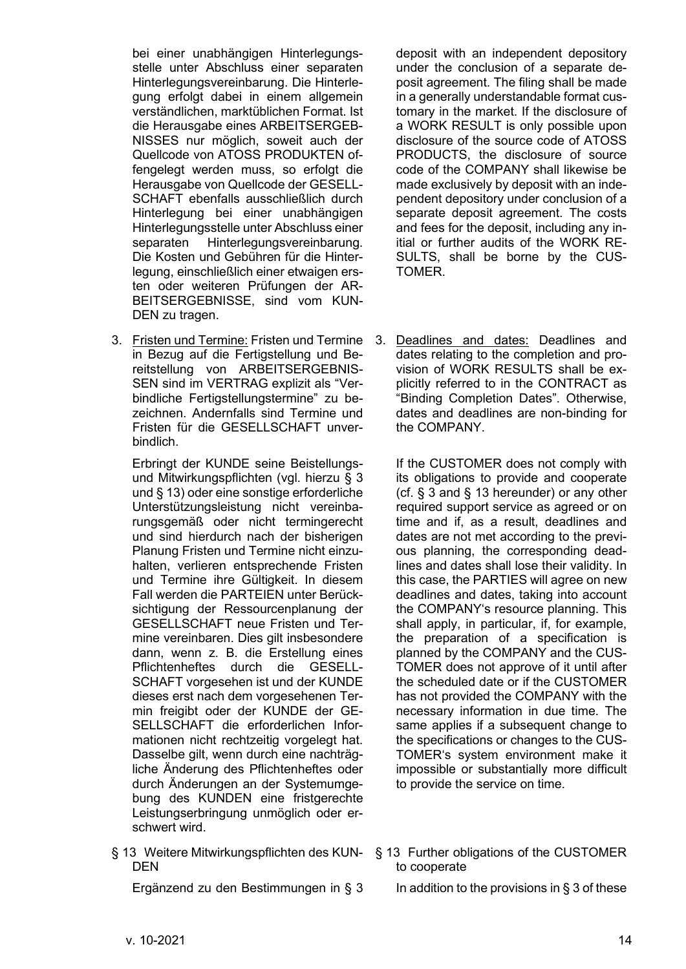bei einer unabhängigen Hinterlegungsstelle unter Abschluss einer separaten Hinterlegungsvereinbarung. Die Hinterlegung erfolgt dabei in einem allgemein verständlichen, marktüblichen Format. Ist die Herausgabe eines ARBEITSERGEB-NISSES nur möglich, soweit auch der Quellcode von ATOSS PRODUKTEN offengelegt werden muss, so erfolgt die Herausgabe von Quellcode der GESELL-SCHAFT ebenfalls ausschließlich durch Hinterlegung bei einer unabhängigen Hinterlegungsstelle unter Abschluss einer separaten Hinterlegungsvereinbarung. Die Kosten und Gebühren für die Hinterlegung, einschließlich einer etwaigen ersten oder weiteren Prüfungen der AR-BEITSERGEBNISSE, sind vom KUN-DEN zu tragen.

3. Fristen und Termine: Fristen und Termine in Bezug auf die Fertigstellung und Bereitstellung von ARBEITSERGEBNIS-SEN sind im VERTRAG explizit als "Verbindliche Fertigstellungstermine" zu bezeichnen. Andernfalls sind Termine und Fristen für die GESELLSCHAFT unverbindlich.

Erbringt der KUNDE seine Beistellungsund Mitwirkungspflichten (vgl. hierzu [§ 3](#page-2-0) un[d § 13\)](#page-13-0) oder eine sonstige erforderliche Unterstützungsleistung nicht vereinbarungsgemäß oder nicht termingerecht und sind hierdurch nach der bisherigen Planung Fristen und Termine nicht einzuhalten, verlieren entsprechende Fristen und Termine ihre Gültigkeit. In diesem Fall werden die PARTEIEN unter Berücksichtigung der Ressourcenplanung der GESELLSCHAFT neue Fristen und Termine vereinbaren. Dies gilt insbesondere dann, wenn z. B. die Erstellung eines Pflichtenheftes durch die GESELL-SCHAFT vorgesehen ist und der KUNDE dieses erst nach dem vorgesehenen Termin freigibt oder der KUNDE der GE-SELLSCHAFT die erforderlichen Informationen nicht rechtzeitig vorgelegt hat. Dasselbe gilt, wenn durch eine nachträgliche Änderung des Pflichtenheftes oder durch Änderungen an der Systemumgebung des KUNDEN eine fristgerechte Leistungserbringung unmöglich oder erschwert wird.

<span id="page-13-0"></span>§ 13 Weitere Mitwirkungspflichten des KUN-DEN

deposit with an independent depository under the conclusion of a separate deposit agreement. The filing shall be made in a generally understandable format customary in the market. If the disclosure of a WORK RESULT is only possible upon disclosure of the source code of ATOSS PRODUCTS, the disclosure of source code of the COMPANY shall likewise be made exclusively by deposit with an independent depository under conclusion of a separate deposit agreement. The costs and fees for the deposit, including any initial or further audits of the WORK RE-SULTS, shall be borne by the CUS-TOMER.

3. Deadlines and dates: Deadlines and dates relating to the completion and provision of WORK RESULTS shall be explicitly referred to in the CONTRACT as "Binding Completion Dates". Otherwise, dates and deadlines are non-binding for the COMPANY.

If the CUSTOMER does not comply with its obligations to provide and cooperate (cf. § 3 and § 13 hereunder) or any other required support service as agreed or on time and if, as a result, deadlines and dates are not met according to the previous planning, the corresponding deadlines and dates shall lose their validity. In this case, the PARTIES will agree on new deadlines and dates, taking into account the COMPANY's resource planning. This shall apply, in particular, if, for example, the preparation of a specification is planned by the COMPANY and the CUS-TOMER does not approve of it until after the scheduled date or if the CUSTOMER has not provided the COMPANY with the necessary information in due time. The same applies if a subsequent change to the specifications or changes to the CUS-TOMER's system environment make it impossible or substantially more difficult to provide the service on time.

- § 13 Further obligations of the CUSTOMER to cooperate
- Ergänzend zu den Bestimmungen in [§ 3](#page-2-0) In addition to the provisions in § 3 of these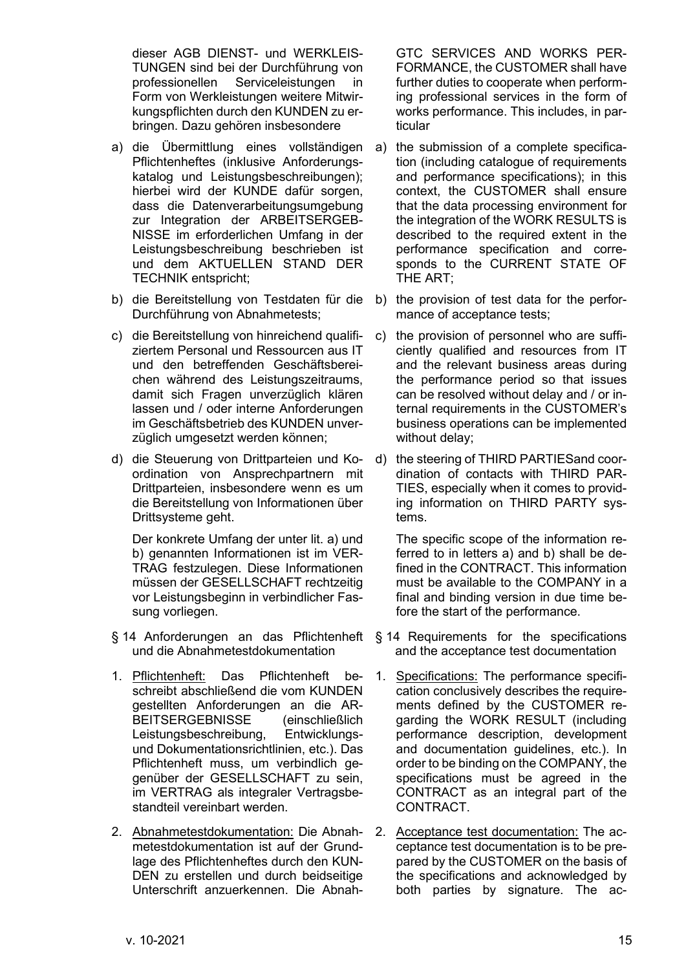dieser AGB DIENST- und WERKLEIS-TUNGEN sind bei der Durchführung von professionellen Serviceleistungen in Form von Werkleistungen weitere Mitwirkungspflichten durch den KUNDEN zu erbringen. Dazu gehören insbesondere

- a) die Übermittlung eines vollständigen Pflichtenheftes (inklusive Anforderungskatalog und Leistungsbeschreibungen); hierbei wird der KUNDE dafür sorgen, dass die Datenverarbeitungsumgebung zur Integration der ARBEITSERGEB-NISSE im erforderlichen Umfang in der Leistungsbeschreibung beschrieben ist und dem AKTUELLEN STAND DER TECHNIK entspricht;
- b) die Bereitstellung von Testdaten für die Durchführung von Abnahmetests;
- c) die Bereitstellung von hinreichend qualifiziertem Personal und Ressourcen aus IT und den betreffenden Geschäftsbereichen während des Leistungszeitraums, damit sich Fragen unverzüglich klären lassen und / oder interne Anforderungen im Geschäftsbetrieb des KUNDEN unverzüglich umgesetzt werden können;
- d) die Steuerung von Drittparteien und Koordination von Ansprechpartnern mit Drittparteien, insbesondere wenn es um die Bereitstellung von Informationen über Drittsysteme geht.

Der konkrete Umfang der unter lit. a) und b) genannten Informationen ist im VER-TRAG festzulegen. Diese Informationen müssen der GESELLSCHAFT rechtzeitig vor Leistungsbeginn in verbindlicher Fassung vorliegen.

- § 14 Anforderungen an das Pflichtenheft § 14 Requirements for the specifications und die Abnahmetestdokumentation
- 1. Pflichtenheft: Das Pflichtenheft beschreibt abschließend die vom KUNDEN gestellten Anforderungen an die AR-BEITSERGEBNISSE (einschließlich Leistungsbeschreibung, Entwicklungsund Dokumentationsrichtlinien, etc.). Das Pflichtenheft muss, um verbindlich gegenüber der GESELLSCHAFT zu sein, im VERTRAG als integraler Vertragsbestandteil vereinbart werden.
- 2. Abnahmetestdokumentation: Die Abnahmetestdokumentation ist auf der Grundlage des Pflichtenheftes durch den KUN-DEN zu erstellen und durch beidseitige Unterschrift anzuerkennen. Die Abnah-

GTC SERVICES AND WORKS PER-FORMANCE, the CUSTOMER shall have further duties to cooperate when performing professional services in the form of works performance. This includes, in particular

- a) the submission of a complete specification (including catalogue of requirements and performance specifications); in this context, the CUSTOMER shall ensure that the data processing environment for the integration of the WORK RESULTS is described to the required extent in the performance specification and corresponds to the CURRENT STATE OF THE ART;
- b) the provision of test data for the performance of acceptance tests;
- c) the provision of personnel who are sufficiently qualified and resources from IT and the relevant business areas during the performance period so that issues can be resolved without delay and / or internal requirements in the CUSTOMER's business operations can be implemented without delay;
- d) the steering of THIRD PARTIESand coordination of contacts with THIRD PAR-TIES, especially when it comes to providing information on THIRD PARTY systems.

The specific scope of the information referred to in letters a) and b) shall be defined in the CONTRACT. This information must be available to the COMPANY in a final and binding version in due time before the start of the performance.

- and the acceptance test documentation
- 1. Specifications: The performance specification conclusively describes the requirements defined by the CUSTOMER regarding the WORK RESULT (including performance description, development and documentation guidelines, etc.). In order to be binding on the COMPANY, the specifications must be agreed in the CONTRACT as an integral part of the CONTRACT.
- 2. Acceptance test documentation: The acceptance test documentation is to be prepared by the CUSTOMER on the basis of the specifications and acknowledged by both parties by signature. The ac-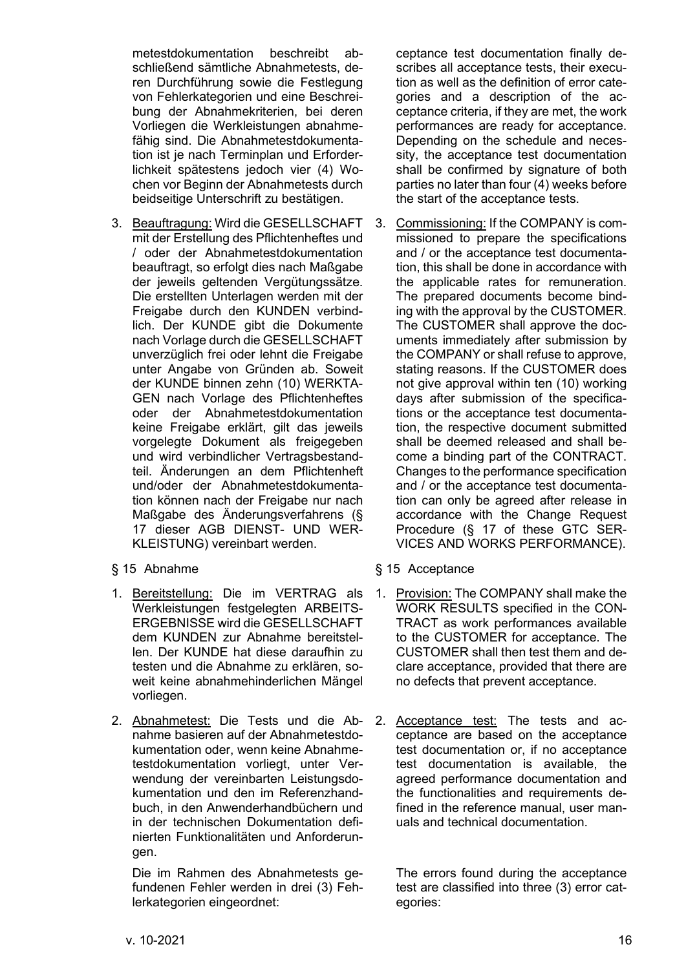metestdokumentation beschreibt abschließend sämtliche Abnahmetests, deren Durchführung sowie die Festlegung von Fehlerkategorien und eine Beschreibung der Abnahmekriterien, bei deren Vorliegen die Werkleistungen abnahmefähig sind. Die Abnahmetestdokumentation ist je nach Terminplan und Erforderlichkeit spätestens jedoch vier (4) Wochen vor Beginn der Abnahmetests durch beidseitige Unterschrift zu bestätigen.

- 3. Beauftragung: Wird die GESELLSCHAFT mit der Erstellung des Pflichtenheftes und / oder der Abnahmetestdokumentation beauftragt, so erfolgt dies nach Maßgabe der jeweils geltenden Vergütungssätze. Die erstellten Unterlagen werden mit der Freigabe durch den KUNDEN verbindlich. Der KUNDE gibt die Dokumente nach Vorlage durch die GESELLSCHAFT unverzüglich frei oder lehnt die Freigabe unter Angabe von Gründen ab. Soweit der KUNDE binnen zehn (10) WERKTA-GEN nach Vorlage des Pflichtenheftes oder der Abnahmetestdokumentation keine Freigabe erklärt, gilt das jeweils vorgelegte Dokument als freigegeben und wird verbindlicher Vertragsbestandteil. Änderungen an dem Pflichtenheft und/oder der Abnahmetestdokumentation können nach der Freigabe nur nach Maßgabe des Änderungsverfahrens [\(§](#page-19-0)  [17](#page-19-0) dieser AGB DIENST- UND WER-KLEISTUNG) vereinbart werden.
- 
- 1. Bereitstellung: Die im VERTRAG als Werkleistungen festgelegten ARBEITS-ERGEBNISSE wird die GESELLSCHAFT dem KUNDEN zur Abnahme bereitstellen. Der KUNDE hat diese daraufhin zu testen und die Abnahme zu erklären, soweit keine abnahmehinderlichen Mängel vorliegen.
- 2. Abnahmetest: Die Tests und die Abnahme basieren auf der Abnahmetestdokumentation oder, wenn keine Abnahmetestdokumentation vorliegt, unter Verwendung der vereinbarten Leistungsdokumentation und den im Referenzhandbuch, in den Anwenderhandbüchern und in der technischen Dokumentation definierten Funktionalitäten und Anforderungen.

Die im Rahmen des Abnahmetests gefundenen Fehler werden in drei (3) Fehlerkategorien eingeordnet:

ceptance test documentation finally describes all acceptance tests, their execution as well as the definition of error categories and a description of the acceptance criteria, if they are met, the work performances are ready for acceptance. Depending on the schedule and necessity, the acceptance test documentation shall be confirmed by signature of both parties no later than four (4) weeks before the start of the acceptance tests.

- 3. Commissioning: If the COMPANY is commissioned to prepare the specifications and / or the acceptance test documentation, this shall be done in accordance with the applicable rates for remuneration. The prepared documents become binding with the approval by the CUSTOMER. The CUSTOMER shall approve the documents immediately after submission by the COMPANY or shall refuse to approve, stating reasons. If the CUSTOMER does not give approval within ten (10) working days after submission of the specifications or the acceptance test documentation, the respective document submitted shall be deemed released and shall become a binding part of the CONTRACT. Changes to the performance specification and / or the acceptance test documentation can only be agreed after release in accordance with the Change Request Procedure (§ 17 of these GTC SER-VICES AND WORKS PERFORMANCE).
- § 15 Abnahme § 15 Acceptance
	- 1. Provision: The COMPANY shall make the WORK RESULTS specified in the CON-TRACT as work performances available to the CUSTOMER for acceptance. The CUSTOMER shall then test them and declare acceptance, provided that there are no defects that prevent acceptance.
	- 2. Acceptance test: The tests and acceptance are based on the acceptance test documentation or, if no acceptance test documentation is available, the agreed performance documentation and the functionalities and requirements defined in the reference manual, user manuals and technical documentation.

The errors found during the acceptance test are classified into three (3) error categories: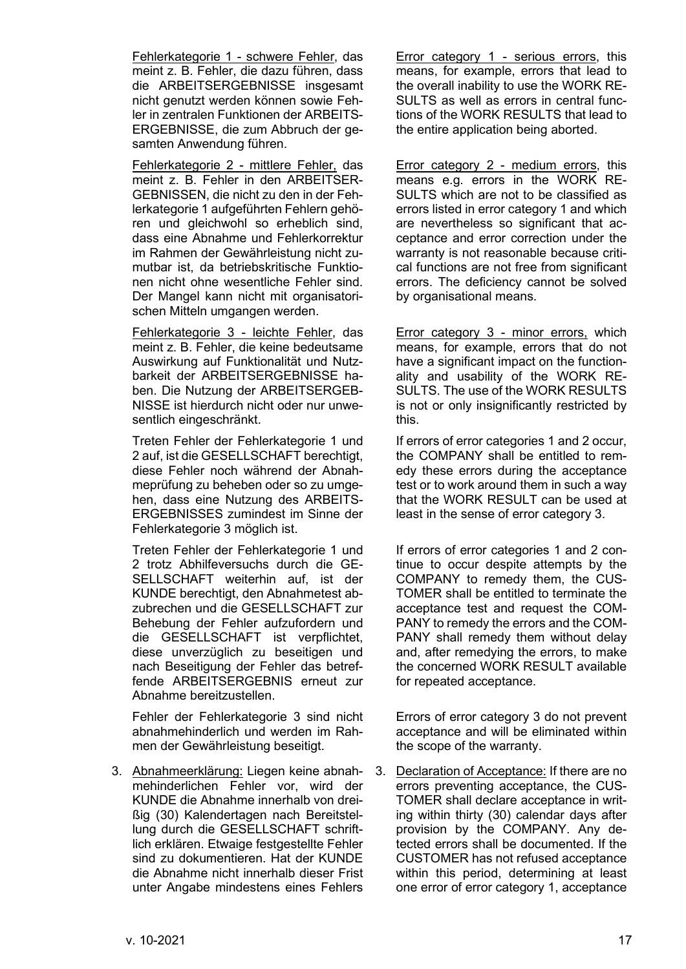Fehlerkategorie 1 - schwere Fehler, das meint z. B. Fehler, die dazu führen, dass die ARBEITSERGEBNISSE insgesamt nicht genutzt werden können sowie Fehler in zentralen Funktionen der ARBEITS-ERGEBNISSE, die zum Abbruch der gesamten Anwendung führen.

Fehlerkategorie 2 - mittlere Fehler, das meint z. B. Fehler in den ARBEITSER-GEBNISSEN, die nicht zu den in der Fehlerkategorie 1 aufgeführten Fehlern gehören und gleichwohl so erheblich sind, dass eine Abnahme und Fehlerkorrektur im Rahmen der Gewährleistung nicht zumutbar ist, da betriebskritische Funktionen nicht ohne wesentliche Fehler sind. Der Mangel kann nicht mit organisatorischen Mitteln umgangen werden.

Fehlerkategorie 3 - leichte Fehler, das meint z. B. Fehler, die keine bedeutsame Auswirkung auf Funktionalität und Nutzbarkeit der ARBEITSERGEBNISSE haben. Die Nutzung der ARBEITSERGEB-NISSE ist hierdurch nicht oder nur unwesentlich eingeschränkt.

Treten Fehler der Fehlerkategorie 1 und 2 auf, ist die GESELLSCHAFT berechtigt, diese Fehler noch während der Abnahmeprüfung zu beheben oder so zu umgehen, dass eine Nutzung des ARBEITS-ERGEBNISSES zumindest im Sinne der Fehlerkategorie 3 möglich ist.

Treten Fehler der Fehlerkategorie 1 und 2 trotz Abhilfeversuchs durch die GE-SELLSCHAFT weiterhin auf, ist der KUNDE berechtigt, den Abnahmetest abzubrechen und die GESELLSCHAFT zur Behebung der Fehler aufzufordern und die GESELLSCHAFT ist verpflichtet, diese unverzüglich zu beseitigen und nach Beseitigung der Fehler das betreffende ARBEITSERGEBNIS erneut zur Abnahme bereitzustellen.

Fehler der Fehlerkategorie 3 sind nicht abnahmehinderlich und werden im Rahmen der Gewährleistung beseitigt.

3. Abnahmeerklärung: Liegen keine abnahmehinderlichen Fehler vor, wird der KUNDE die Abnahme innerhalb von dreißig (30) Kalendertagen nach Bereitstellung durch die GESELLSCHAFT schriftlich erklären. Etwaige festgestellte Fehler sind zu dokumentieren. Hat der KUNDE die Abnahme nicht innerhalb dieser Frist unter Angabe mindestens eines Fehlers

Error category 1 - serious errors, this means, for example, errors that lead to the overall inability to use the WORK RE-SULTS as well as errors in central functions of the WORK RESULTS that lead to the entire application being aborted.

Error category 2 - medium errors, this means e.g. errors in the WORK RE-SULTS which are not to be classified as errors listed in error category 1 and which are nevertheless so significant that acceptance and error correction under the warranty is not reasonable because critical functions are not free from significant errors. The deficiency cannot be solved by organisational means.

Error category 3 - minor errors, which means, for example, errors that do not have a significant impact on the functionality and usability of the WORK RE-SULTS. The use of the WORK RESULTS is not or only insignificantly restricted by this.

If errors of error categories 1 and 2 occur, the COMPANY shall be entitled to remedy these errors during the acceptance test or to work around them in such a way that the WORK RESULT can be used at least in the sense of error category 3.

If errors of error categories 1 and 2 continue to occur despite attempts by the COMPANY to remedy them, the CUS-TOMER shall be entitled to terminate the acceptance test and request the COM-PANY to remedy the errors and the COM-PANY shall remedy them without delay and, after remedying the errors, to make the concerned WORK RESULT available for repeated acceptance.

Errors of error category 3 do not prevent acceptance and will be eliminated within the scope of the warranty.

3. Declaration of Acceptance: If there are no errors preventing acceptance, the CUS-TOMER shall declare acceptance in writing within thirty (30) calendar days after provision by the COMPANY. Any detected errors shall be documented. If the CUSTOMER has not refused acceptance within this period, determining at least one error of error category 1, acceptance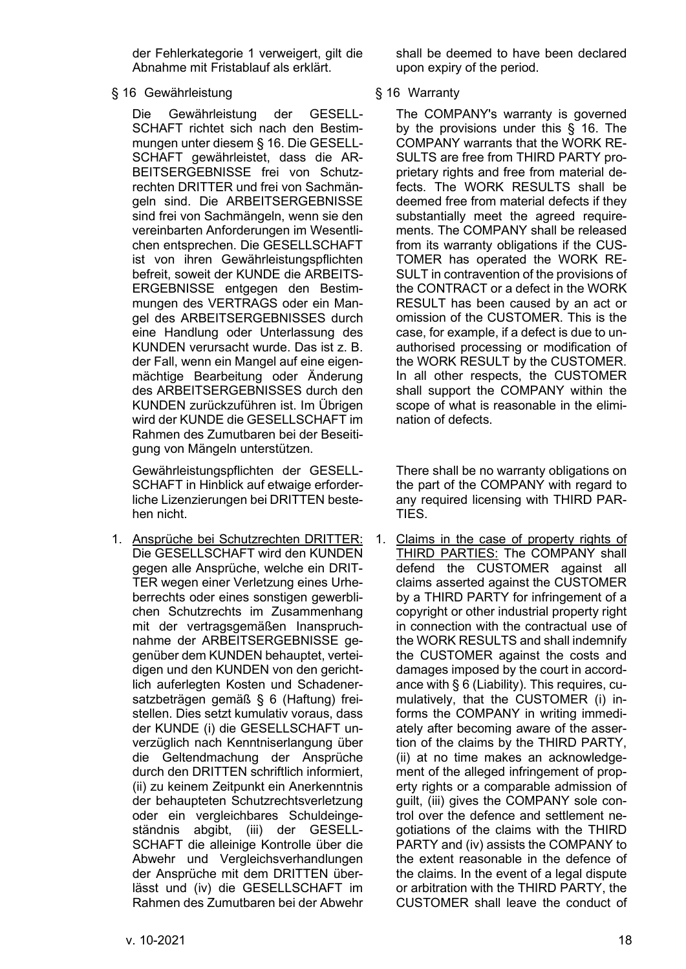der Fehlerkategorie 1 verweigert, gilt die Abnahme mit Fristablauf als erklärt.

# <span id="page-17-0"></span>§ 16 Gewährleistung § 16 Warranty

Die Gewährleistung der GESELL-SCHAFT richtet sich nach den Bestimmungen unter diesem § 16. Die GESELL-SCHAFT gewährleistet, dass die AR-BEITSERGEBNISSE frei von Schutzrechten DRITTER und frei von Sachmängeln sind. Die ARBEITSERGEBNISSE sind frei von Sachmängeln, wenn sie den vereinbarten Anforderungen im Wesentlichen entsprechen. Die GESELLSCHAFT ist von ihren Gewährleistungspflichten befreit, soweit der KUNDE die ARBEITS-ERGEBNISSE entgegen den Bestimmungen des VERTRAGS oder ein Mangel des ARBEITSERGEBNISSES durch eine Handlung oder Unterlassung des KUNDEN verursacht wurde. Das ist z. B. der Fall, wenn ein Mangel auf eine eigenmächtige Bearbeitung oder Änderung des ARBEITSERGEBNISSES durch den KUNDEN zurückzuführen ist. Im Übrigen wird der KUNDE die GESELLSCHAFT im Rahmen des Zumutbaren bei der Beseitigung von Mängeln unterstützen.

Gewährleistungspflichten der GESELL-SCHAFT in Hinblick auf etwaige erforderliche Lizenzierungen bei DRITTEN bestehen nicht.

<span id="page-17-1"></span>1. Ansprüche bei Schutzrechten DRITTER: Die GESELLSCHAFT wird den KUNDEN gegen alle Ansprüche, welche ein DRIT-TER wegen einer Verletzung eines Urheberrechts oder eines sonstigen gewerblichen Schutzrechts im Zusammenhang mit der vertragsgemäßen Inanspruchnahme der ARBEITSERGEBNISSE gegenüber dem KUNDEN behauptet, verteidigen und den KUNDEN von den gerichtlich auferlegten Kosten und Schadenersatzbeträgen gemäß [§ 6](#page-7-0) (Haftung) freistellen. Dies setzt kumulativ voraus, dass der KUNDE (i) die GESELLSCHAFT unverzüglich nach Kenntniserlangung über die Geltendmachung der Ansprüche durch den DRITTEN schriftlich informiert, (ii) zu keinem Zeitpunkt ein Anerkenntnis der behaupteten Schutzrechtsverletzung oder ein vergleichbares Schuldeingeständnis abgibt, (iii) der GESELL-SCHAFT die alleinige Kontrolle über die Abwehr und Vergleichsverhandlungen der Ansprüche mit dem DRITTEN überlässt und (iv) die GESELLSCHAFT im Rahmen des Zumutbaren bei der Abwehr

shall be deemed to have been declared upon expiry of the period.

The COMPANY's warranty is governed by the provisions under this § 16. The COMPANY warrants that the WORK RE-SULTS are free from THIRD PARTY proprietary rights and free from material defects. The WORK RESULTS shall be deemed free from material defects if they substantially meet the agreed requirements. The COMPANY shall be released from its warranty obligations if the CUS-TOMER has operated the WORK RE-SULT in contravention of the provisions of the CONTRACT or a defect in the WORK RESULT has been caused by an act or omission of the CUSTOMER. This is the case, for example, if a defect is due to unauthorised processing or modification of the WORK RESULT by the CUSTOMER. In all other respects, the CUSTOMER shall support the COMPANY within the scope of what is reasonable in the elimination of defects.

There shall be no warranty obligations on the part of the COMPANY with regard to any required licensing with THIRD PAR-TIES.

1. Claims in the case of property rights of THIRD PARTIES: The COMPANY shall defend the CUSTOMER against all claims asserted against the CUSTOMER by a THIRD PARTY for infringement of a copyright or other industrial property right in connection with the contractual use of the WORK RESULTS and shall indemnify the CUSTOMER against the costs and damages imposed by the court in accordance with § 6 (Liability). This requires, cumulatively, that the CUSTOMER (i) informs the COMPANY in writing immediately after becoming aware of the assertion of the claims by the THIRD PARTY, (ii) at no time makes an acknowledgement of the alleged infringement of property rights or a comparable admission of guilt, (iii) gives the COMPANY sole control over the defence and settlement negotiations of the claims with the THIRD PARTY and (iv) assists the COMPANY to the extent reasonable in the defence of the claims. In the event of a legal dispute or arbitration with the THIRD PARTY, the CUSTOMER shall leave the conduct of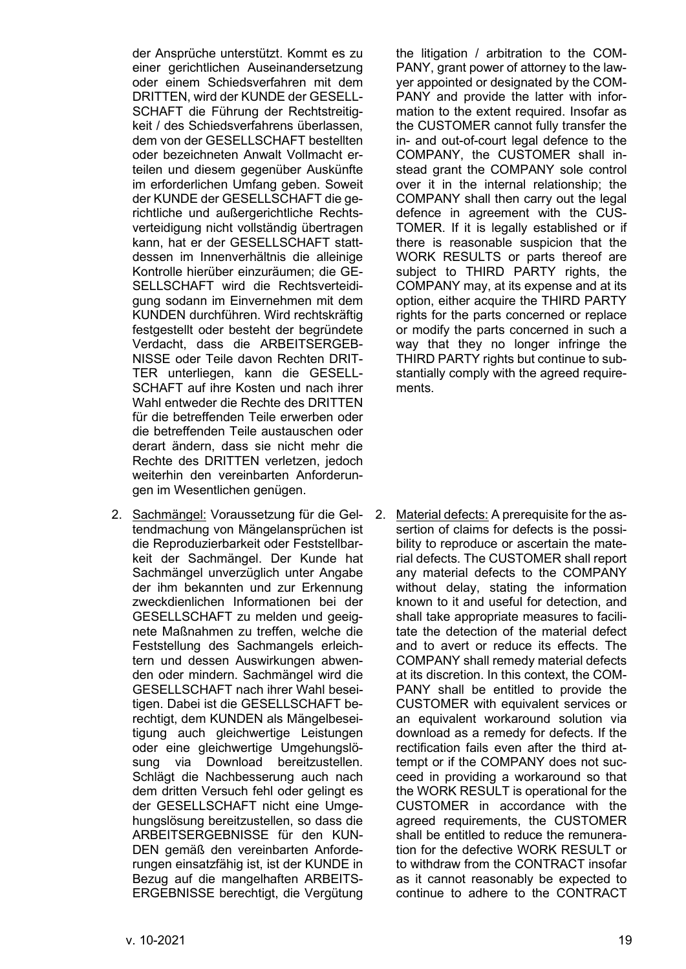der Ansprüche unterstützt. Kommt es zu einer gerichtlichen Auseinandersetzung oder einem Schiedsverfahren mit dem DRITTEN, wird der KUNDE der GESELL-SCHAFT die Führung der Rechtstreitigkeit / des Schiedsverfahrens überlassen, dem von der GESELLSCHAFT bestellten oder bezeichneten Anwalt Vollmacht erteilen und diesem gegenüber Auskünfte im erforderlichen Umfang geben. Soweit der KUNDE der GESELLSCHAFT die gerichtliche und außergerichtliche Rechtsverteidigung nicht vollständig übertragen kann, hat er der GESELLSCHAFT stattdessen im Innenverhältnis die alleinige Kontrolle hierüber einzuräumen; die GE-SELLSCHAFT wird die Rechtsverteidigung sodann im Einvernehmen mit dem KUNDEN durchführen. Wird rechtskräftig festgestellt oder besteht der begründete Verdacht, dass die ARBEITSERGEB-NISSE oder Teile davon Rechten DRIT-TER unterliegen, kann die GESELL-SCHAFT auf ihre Kosten und nach ihrer Wahl entweder die Rechte des DRITTEN für die betreffenden Teile erwerben oder die betreffenden Teile austauschen oder derart ändern, dass sie nicht mehr die Rechte des DRITTEN verletzen, jedoch weiterhin den vereinbarten Anforderungen im Wesentlichen genügen.

2. Sachmängel: Voraussetzung für die Geltendmachung von Mängelansprüchen ist die Reproduzierbarkeit oder Feststellbarkeit der Sachmängel. Der Kunde hat Sachmängel unverzüglich unter Angabe der ihm bekannten und zur Erkennung zweckdienlichen Informationen bei der GESELLSCHAFT zu melden und geeignete Maßnahmen zu treffen, welche die Feststellung des Sachmangels erleichtern und dessen Auswirkungen abwenden oder mindern. Sachmängel wird die GESELLSCHAFT nach ihrer Wahl beseitigen. Dabei ist die GESELLSCHAFT berechtigt, dem KUNDEN als Mängelbeseitigung auch gleichwertige Leistungen oder eine gleichwertige Umgehungslösung via Download bereitzustellen. Schlägt die Nachbesserung auch nach dem dritten Versuch fehl oder gelingt es der GESELLSCHAFT nicht eine Umgehungslösung bereitzustellen, so dass die ARBEITSERGEBNISSE für den KUN-DEN gemäß den vereinbarten Anforderungen einsatzfähig ist, ist der KUNDE in Bezug auf die mangelhaften ARBEITS-ERGEBNISSE berechtigt, die Vergütung

the litigation / arbitration to the COM-PANY, grant power of attorney to the lawyer appointed or designated by the COM-PANY and provide the latter with information to the extent required. Insofar as the CUSTOMER cannot fully transfer the in- and out-of-court legal defence to the COMPANY, the CUSTOMER shall instead grant the COMPANY sole control over it in the internal relationship; the COMPANY shall then carry out the legal defence in agreement with the CUS-TOMER. If it is legally established or if there is reasonable suspicion that the WORK RESULTS or parts thereof are subject to THIRD PARTY rights, the COMPANY may, at its expense and at its option, either acquire the THIRD PARTY rights for the parts concerned or replace or modify the parts concerned in such a way that they no longer infringe the THIRD PARTY rights but continue to substantially comply with the agreed requirements.

2. Material defects: A prerequisite for the assertion of claims for defects is the possibility to reproduce or ascertain the material defects. The CUSTOMER shall report any material defects to the COMPANY without delay, stating the information known to it and useful for detection, and shall take appropriate measures to facilitate the detection of the material defect and to avert or reduce its effects. The COMPANY shall remedy material defects at its discretion. In this context, the COM-PANY shall be entitled to provide the CUSTOMER with equivalent services or an equivalent workaround solution via download as a remedy for defects. If the rectification fails even after the third attempt or if the COMPANY does not succeed in providing a workaround so that the WORK RESULT is operational for the CUSTOMER in accordance with the agreed requirements, the CUSTOMER shall be entitled to reduce the remuneration for the defective WORK RESULT or to withdraw from the CONTRACT insofar as it cannot reasonably be expected to continue to adhere to the CONTRACT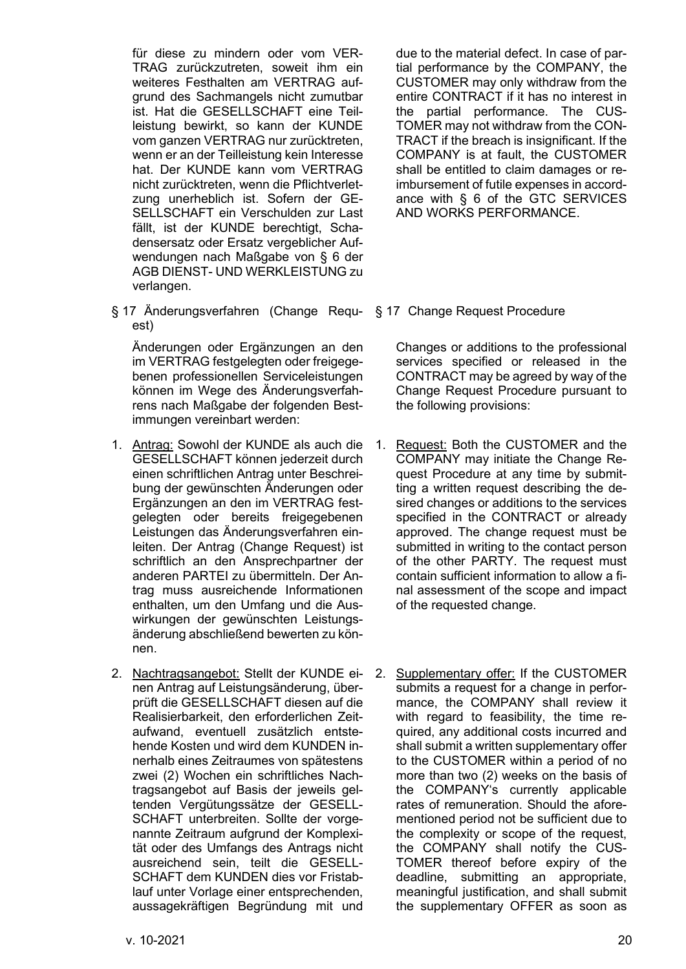für diese zu mindern oder vom VER-TRAG zurückzutreten, soweit ihm ein weiteres Festhalten am VERTRAG aufgrund des Sachmangels nicht zumutbar ist. Hat die GESELLSCHAFT eine Teilleistung bewirkt, so kann der KUNDE vom ganzen VERTRAG nur zurücktreten, wenn er an der Teilleistung kein Interesse hat. Der KUNDE kann vom VERTRAG nicht zurücktreten, wenn die Pflichtverletzung unerheblich ist. Sofern der GE-SELLSCHAFT ein Verschulden zur Last fällt, ist der KUNDE berechtigt, Schadensersatz oder Ersatz vergeblicher Aufwendungen nach Maßgabe von [§ 6](#page-7-0) der AGB DIENST- UND WERKLEISTUNG zu verlangen.

<span id="page-19-0"></span>§ 17 Änderungsverfahren (Change Requ-§ 17 Change Request Procedure est)

Änderungen oder Ergänzungen an den im VERTRAG festgelegten oder freigegebenen professionellen Serviceleistungen können im Wege des Änderungsverfahrens nach Maßgabe der folgenden Bestimmungen vereinbart werden:

- 1. Antrag: Sowohl der KUNDE als auch die GESELLSCHAFT können jederzeit durch einen schriftlichen Antrag unter Beschreibung der gewünschten Änderungen oder Ergänzungen an den im VERTRAG festgelegten oder bereits freigegebenen Leistungen das Änderungsverfahren einleiten. Der Antrag (Change Request) ist schriftlich an den Ansprechpartner der anderen PARTEI zu übermitteln. Der Antrag muss ausreichende Informationen enthalten, um den Umfang und die Auswirkungen der gewünschten Leistungsänderung abschließend bewerten zu können.
- 2. Nachtragsangebot: Stellt der KUNDE einen Antrag auf Leistungsänderung, überprüft die GESELLSCHAFT diesen auf die Realisierbarkeit, den erforderlichen Zeitaufwand, eventuell zusätzlich entstehende Kosten und wird dem KUNDEN innerhalb eines Zeitraumes von spätestens zwei (2) Wochen ein schriftliches Nachtragsangebot auf Basis der jeweils geltenden Vergütungssätze der GESELL-SCHAFT unterbreiten. Sollte der vorgenannte Zeitraum aufgrund der Komplexität oder des Umfangs des Antrags nicht ausreichend sein, teilt die GESELL-SCHAFT dem KUNDEN dies vor Fristablauf unter Vorlage einer entsprechenden, aussagekräftigen Begründung mit und

due to the material defect. In case of partial performance by the COMPANY, the CUSTOMER may only withdraw from the entire CONTRACT if it has no interest in the partial performance. The CUS-TOMER may not withdraw from the CON-TRACT if the breach is insignificant. If the COMPANY is at fault, the CUSTOMER shall be entitled to claim damages or reimbursement of futile expenses in accordance with § 6 of the GTC SERVICES AND WORKS PERFORMANCE.

Changes or additions to the professional services specified or released in the CONTRACT may be agreed by way of the Change Request Procedure pursuant to the following provisions:

- 1. Request: Both the CUSTOMER and the COMPANY may initiate the Change Request Procedure at any time by submitting a written request describing the desired changes or additions to the services specified in the CONTRACT or already approved. The change request must be submitted in writing to the contact person of the other PARTY. The request must contain sufficient information to allow a final assessment of the scope and impact of the requested change.
- 2. Supplementary offer: If the CUSTOMER submits a request for a change in performance, the COMPANY shall review it with regard to feasibility, the time required, any additional costs incurred and shall submit a written supplementary offer to the CUSTOMER within a period of no more than two (2) weeks on the basis of the COMPANY's currently applicable rates of remuneration. Should the aforementioned period not be sufficient due to the complexity or scope of the request, the COMPANY shall notify the CUS-TOMER thereof before expiry of the deadline, submitting an appropriate, meaningful justification, and shall submit the supplementary OFFER as soon as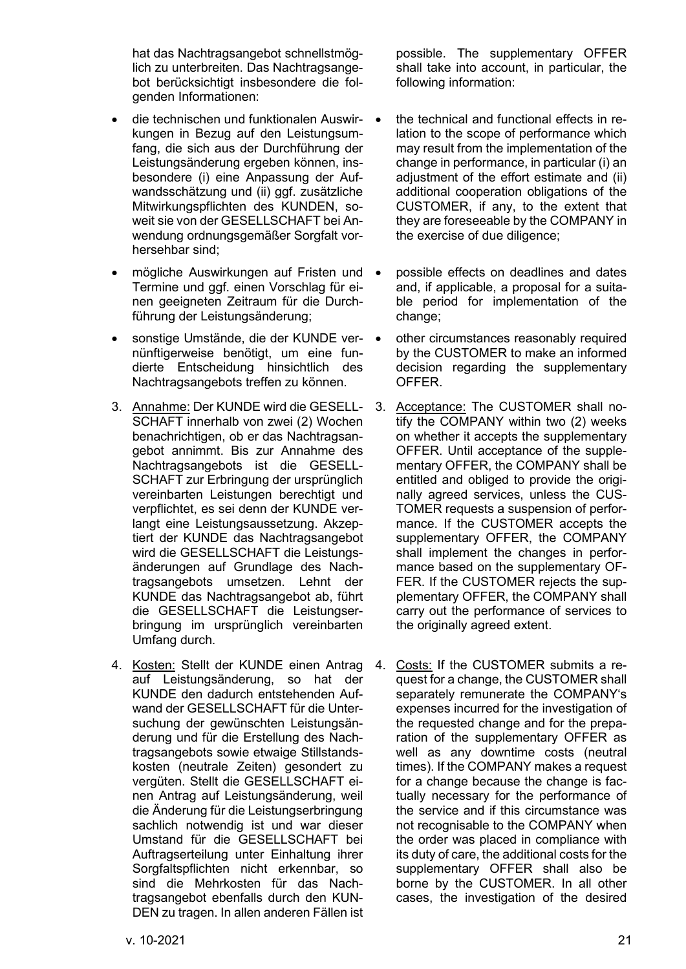hat das Nachtragsangebot schnellstmöglich zu unterbreiten. Das Nachtragsangebot berücksichtigt insbesondere die folgenden Informationen:

- die technischen und funktionalen Auswirkungen in Bezug auf den Leistungsumfang, die sich aus der Durchführung der Leistungsänderung ergeben können, insbesondere (i) eine Anpassung der Aufwandsschätzung und (ii) ggf. zusätzliche Mitwirkungspflichten des KUNDEN, soweit sie von der GESELLSCHAFT bei Anwendung ordnungsgemäßer Sorgfalt vorhersehbar sind;
- mögliche Auswirkungen auf Fristen und Termine und ggf. einen Vorschlag für einen geeigneten Zeitraum für die Durchführung der Leistungsänderung;
- sonstige Umstände, die der KUNDE vernünftigerweise benötigt, um eine fundierte Entscheidung hinsichtlich des Nachtragsangebots treffen zu können.
- 3. Annahme: Der KUNDE wird die GESELL-SCHAFT innerhalb von zwei (2) Wochen benachrichtigen, ob er das Nachtragsangebot annimmt. Bis zur Annahme des Nachtragsangebots ist die GESELL-SCHAFT zur Erbringung der ursprünglich vereinbarten Leistungen berechtigt und verpflichtet, es sei denn der KUNDE verlangt eine Leistungsaussetzung. Akzeptiert der KUNDE das Nachtragsangebot wird die GESELLSCHAFT die Leistungsänderungen auf Grundlage des Nachtragsangebots umsetzen. Lehnt der KUNDE das Nachtragsangebot ab, führt die GESELLSCHAFT die Leistungserbringung im ursprünglich vereinbarten Umfang durch.
- 4. Kosten: Stellt der KUNDE einen Antrag auf Leistungsänderung, so hat der KUNDE den dadurch entstehenden Aufwand der GESELLSCHAFT für die Untersuchung der gewünschten Leistungsänderung und für die Erstellung des Nachtragsangebots sowie etwaige Stillstandskosten (neutrale Zeiten) gesondert zu vergüten. Stellt die GESELLSCHAFT einen Antrag auf Leistungsänderung, weil die Änderung für die Leistungserbringung sachlich notwendig ist und war dieser Umstand für die GESELLSCHAFT bei Auftragserteilung unter Einhaltung ihrer Sorgfaltspflichten nicht erkennbar, so sind die Mehrkosten für das Nachtragsangebot ebenfalls durch den KUN-DEN zu tragen. In allen anderen Fällen ist

possible. The supplementary OFFER shall take into account, in particular, the following information:

- the technical and functional effects in relation to the scope of performance which may result from the implementation of the change in performance, in particular (i) an adjustment of the effort estimate and (ii) additional cooperation obligations of the CUSTOMER, if any, to the extent that they are foreseeable by the COMPANY in the exercise of due diligence;
- possible effects on deadlines and dates and, if applicable, a proposal for a suitable period for implementation of the change;
- other circumstances reasonably required by the CUSTOMER to make an informed decision regarding the supplementary OFFER.
- 3. Acceptance: The CUSTOMER shall notify the COMPANY within two (2) weeks on whether it accepts the supplementary OFFER. Until acceptance of the supplementary OFFER, the COMPANY shall be entitled and obliged to provide the originally agreed services, unless the CUS-TOMER requests a suspension of performance. If the CUSTOMER accepts the supplementary OFFER, the COMPANY shall implement the changes in performance based on the supplementary OF-FER. If the CUSTOMER rejects the supplementary OFFER, the COMPANY shall carry out the performance of services to the originally agreed extent.
- 4. Costs: If the CUSTOMER submits a request for a change, the CUSTOMER shall separately remunerate the COMPANY's expenses incurred for the investigation of the requested change and for the preparation of the supplementary OFFER as well as any downtime costs (neutral times). If the COMPANY makes a request for a change because the change is factually necessary for the performance of the service and if this circumstance was not recognisable to the COMPANY when the order was placed in compliance with its duty of care, the additional costs for the supplementary OFFER shall also be borne by the CUSTOMER. In all other cases, the investigation of the desired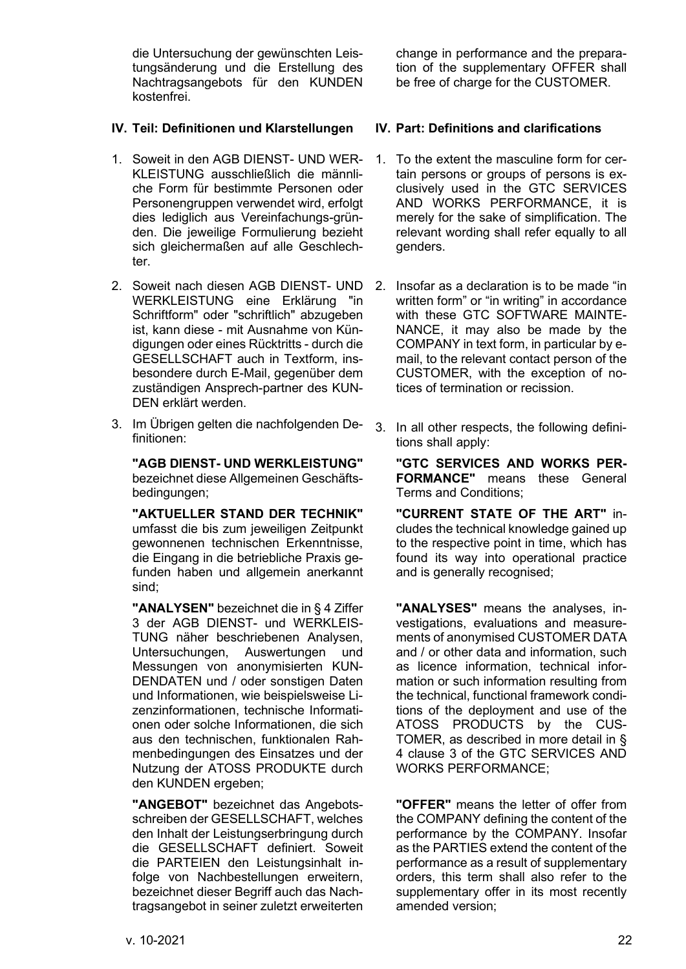die Untersuchung der gewünschten Leistungsänderung und die Erstellung des Nachtragsangebots für den KUNDEN kostenfrei.

# <span id="page-21-0"></span>**IV. Teil: Definitionen und Klarstellungen IV. Part: Definitions and clarifications**

- 1. Soweit in den AGB DIENST- UND WER-KLEISTUNG ausschließlich die männliche Form für bestimmte Personen oder Personengruppen verwendet wird, erfolgt dies lediglich aus Vereinfachungs-gründen. Die jeweilige Formulierung bezieht sich gleichermaßen auf alle Geschlechter.
- 2. Soweit nach diesen AGB DIENST- UND WERKLEISTUNG eine Erklärung "in Schriftform" oder "schriftlich" abzugeben ist, kann diese - mit Ausnahme von Kündigungen oder eines Rücktritts - durch die GESELLSCHAFT auch in Textform, insbesondere durch E-Mail, gegenüber dem zuständigen Ansprech-partner des KUN-DEN erklärt werden.
- 3. Im Übrigen gelten die nachfolgenden Definitionen:

**"AGB DIENST- UND WERKLEISTUNG"** bezeichnet diese Allgemeinen Geschäftsbedingungen;

**"AKTUELLER STAND DER TECHNIK"** umfasst die bis zum jeweiligen Zeitpunkt gewonnenen technischen Erkenntnisse, die Eingang in die betriebliche Praxis gefunden haben und allgemein anerkannt sind;

**"ANALYSEN"** bezeichnet die i[n § 4](#page-4-0) Ziffer 3 der AGB DIENST- und WERKLEIS-TUNG näher beschriebenen Analysen, Untersuchungen, Auswertungen und Messungen von anonymisierten KUN-DENDATEN und / oder sonstigen Daten und Informationen, wie beispielsweise Lizenzinformationen, technische Informationen oder solche Informationen, die sich aus den technischen, funktionalen Rahmenbedingungen des Einsatzes und der Nutzung der ATOSS PRODUKTE durch den KUNDEN ergeben;

**"ANGEBOT"** bezeichnet das Angebotsschreiben der GESELLSCHAFT, welches den Inhalt der Leistungserbringung durch die GESELLSCHAFT definiert. Soweit die PARTEIEN den Leistungsinhalt infolge von Nachbestellungen erweitern, bezeichnet dieser Begriff auch das Nachtragsangebot in seiner zuletzt erweiterten

change in performance and the preparation of the supplementary OFFER shall be free of charge for the CUSTOMER.

- 1. To the extent the masculine form for certain persons or groups of persons is exclusively used in the GTC SERVICES AND WORKS PERFORMANCE, it is merely for the sake of simplification. The relevant wording shall refer equally to all genders.
- 2. Insofar as a declaration is to be made "in written form" or "in writing" in accordance with these GTC SOFTWARE MAINTE-NANCE, it may also be made by the COMPANY in text form, in particular by email, to the relevant contact person of the CUSTOMER, with the exception of notices of termination or recission.
- 3. In all other respects, the following definitions shall apply:

**"GTC SERVICES AND WORKS PER-FORMANCE"** means these General Terms and Conditions;

**"CURRENT STATE OF THE ART"** includes the technical knowledge gained up to the respective point in time, which has found its way into operational practice and is generally recognised;

**"ANALYSES"** means the analyses, investigations, evaluations and measurements of anonymised CUSTOMER DATA and / or other data and information, such as licence information, technical information or such information resulting from the technical, functional framework conditions of the deployment and use of the ATOSS PRODUCTS by the CUS-TOMER, as described in more detail in § 4 clause 3 of the GTC SERVICES AND WORKS PERFORMANCE;

**"OFFER"** means the letter of offer from the COMPANY defining the content of the performance by the COMPANY. Insofar as the PARTIES extend the content of the performance as a result of supplementary orders, this term shall also refer to the supplementary offer in its most recently amended version;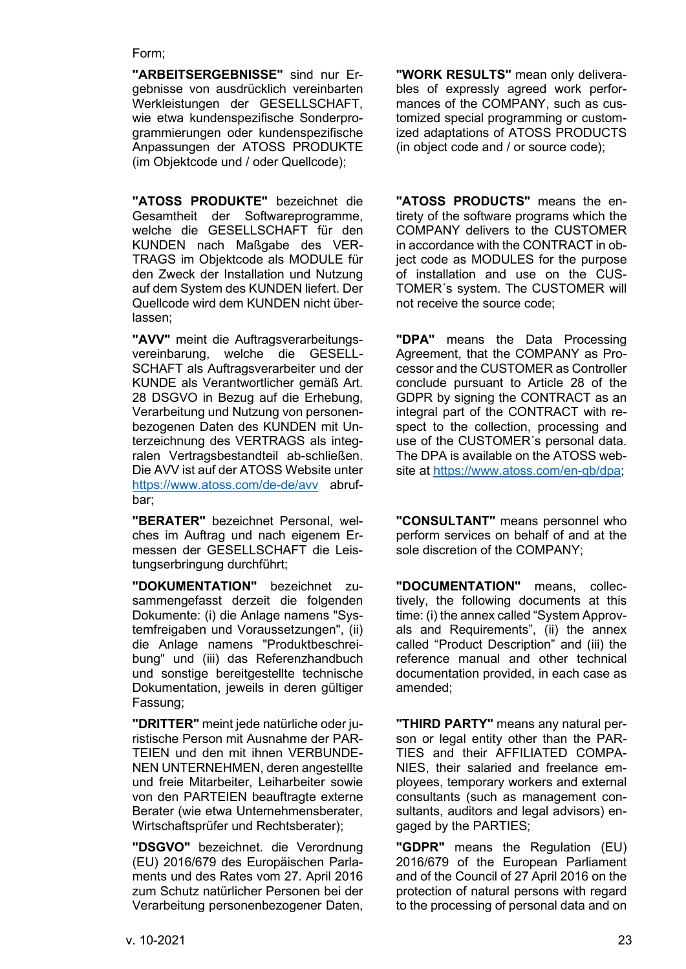### Form;

**"ARBEITSERGEBNISSE"** sind nur Ergebnisse von ausdrücklich vereinbarten Werkleistungen der GESELLSCHAFT, wie etwa kundenspezifische Sonderprogrammierungen oder kundenspezifische Anpassungen der ATOSS PRODUKTE (im Objektcode und / oder Quellcode);

**"ATOSS PRODUKTE"** bezeichnet die Gesamtheit der Softwareprogramme, welche die GESELLSCHAFT für den KUNDEN nach Maßgabe des VER-TRAGS im Objektcode als MODULE für den Zweck der Installation und Nutzung auf dem System des KUNDEN liefert. Der Quellcode wird dem KUNDEN nicht überlassen;

**"AVV"** meint die Auftragsverarbeitungsvereinbarung, welche die GESELL-SCHAFT als Auftragsverarbeiter und der KUNDE als Verantwortlicher gemäß Art. 28 DSGVO in Bezug auf die Erhebung, Verarbeitung und Nutzung von personenbezogenen Daten des KUNDEN mit Unterzeichnung des VERTRAGS als integralen Vertragsbestandteil ab-schließen. Die AVV ist auf der ATOSS Website unter <https://www.atoss.com/de-de/avv> abrufbar;

**"BERATER"** bezeichnet Personal, welches im Auftrag und nach eigenem Ermessen der GESELLSCHAFT die Leistungserbringung durchführt;

**"DOKUMENTATION"** bezeichnet zusammengefasst derzeit die folgenden Dokumente: (i) die Anlage namens "Systemfreigaben und Voraussetzungen", (ii) die Anlage namens "Produktbeschreibung" und (iii) das Referenzhandbuch und sonstige bereitgestellte technische Dokumentation, jeweils in deren gültiger Fassung;

**"DRITTER"** meint jede natürliche oder juristische Person mit Ausnahme der PAR-TEIEN und den mit ihnen VERBUNDE-NEN UNTERNEHMEN, deren angestellte und freie Mitarbeiter, Leiharbeiter sowie von den PARTEIEN beauftragte externe Berater (wie etwa Unternehmensberater, Wirtschaftsprüfer und Rechtsberater);

**"DSGVO"** bezeichnet. die Verordnung (EU) 2016/679 des Europäischen Parlaments und des Rates vom 27. April 2016 zum Schutz natürlicher Personen bei der Verarbeitung personenbezogener Daten,

**"WORK RESULTS"** mean only deliverables of expressly agreed work performances of the COMPANY, such as customized special programming or customized adaptations of ATOSS PRODUCTS (in object code and / or source code);

**"ATOSS PRODUCTS"** means the entirety of the software programs which the COMPANY delivers to the CUSTOMER in accordance with the CONTRACT in object code as MODULES for the purpose of installation and use on the CUS-TOMER´s system. The CUSTOMER will not receive the source code;

**"DPA"** means the Data Processing Agreement, that the COMPANY as Processor and the CUSTOMER as Controller conclude pursuant to Article 28 of the GDPR by signing the CONTRACT as an integral part of the CONTRACT with respect to the collection, processing and use of the CUSTOMER´s personal data. The DPA is available on the ATOSS website at [https://www.atoss.com/en-gb/dpa;](https://www.atoss.com/en-gb/dpa)

**"CONSULTANT"** means personnel who perform services on behalf of and at the sole discretion of the COMPANY;

**"DOCUMENTATION"** means, collectively, the following documents at this time: (i) the annex called "System Approvals and Requirements", (ii) the annex called "Product Description" and (iii) the reference manual and other technical documentation provided, in each case as amended;

**"THIRD PARTY"** means any natural person or legal entity other than the PAR-TIES and their AFFILIATED COMPA-NIES, their salaried and freelance employees, temporary workers and external consultants (such as management consultants, auditors and legal advisors) engaged by the PARTIES;

**"GDPR"** means the Regulation (EU) 2016/679 of the European Parliament and of the Council of 27 April 2016 on the protection of natural persons with regard to the processing of personal data and on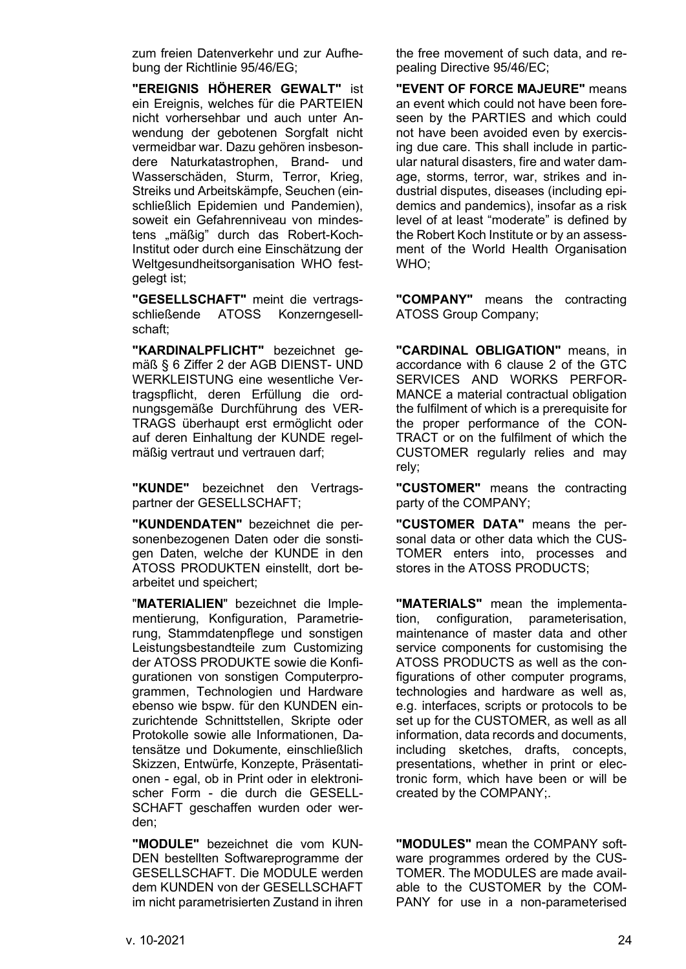zum freien Datenverkehr und zur Aufhebung der Richtlinie 95/46/EG;

**"EREIGNIS HÖHERER GEWALT"** ist ein Ereignis, welches für die PARTEIEN nicht vorhersehbar und auch unter Anwendung der gebotenen Sorgfalt nicht vermeidbar war. Dazu gehören insbesondere Naturkatastrophen, Brand- und Wasserschäden, Sturm, Terror, Krieg, Streiks und Arbeitskämpfe, Seuchen (einschließlich Epidemien und Pandemien), soweit ein Gefahrenniveau von mindestens "mäßig" durch das Robert-Koch-Institut oder durch eine Einschätzung der Weltgesundheitsorganisation WHO festgelegt ist;

**"GESELLSCHAFT"** meint die vertragsschließende ATOSS Konzerngesellschaft;

**"KARDINALPFLICHT"** bezeichnet gemäß [§ 6](#page-7-0) Ziffer [2](#page-7-1) der AGB DIENST- UND WERKLEISTUNG eine wesentliche Vertragspflicht, deren Erfüllung die ordnungsgemäße Durchführung des VER-TRAGS überhaupt erst ermöglicht oder auf deren Einhaltung der KUNDE regelmäßig vertraut und vertrauen darf;

**"KUNDE"** bezeichnet den Vertragspartner der GESELLSCHAFT;

**"KUNDENDATEN"** bezeichnet die personenbezogenen Daten oder die sonstigen Daten, welche der KUNDE in den ATOSS PRODUKTEN einstellt, dort bearbeitet und speichert;

"**MATERIALIEN**" bezeichnet die Implementierung, Konfiguration, Parametrierung, Stammdatenpflege und sonstigen Leistungsbestandteile zum Customizing der ATOSS PRODUKTE sowie die Konfigurationen von sonstigen Computerprogrammen, Technologien und Hardware ebenso wie bspw. für den KUNDEN einzurichtende Schnittstellen, Skripte oder Protokolle sowie alle Informationen, Datensätze und Dokumente, einschließlich Skizzen, Entwürfe, Konzepte, Präsentationen - egal, ob in Print oder in elektronischer Form - die durch die GESELL-SCHAFT geschaffen wurden oder werden;

**"MODULE"** bezeichnet die vom KUN-DEN bestellten Softwareprogramme der GESELLSCHAFT. Die MODULE werden dem KUNDEN von der GESELLSCHAFT im nicht parametrisierten Zustand in ihren

the free movement of such data, and repealing Directive 95/46/EC;

**"EVENT OF FORCE MAJEURE"** means an event which could not have been foreseen by the PARTIES and which could not have been avoided even by exercising due care. This shall include in particular natural disasters, fire and water damage, storms, terror, war, strikes and industrial disputes, diseases (including epidemics and pandemics), insofar as a risk level of at least "moderate" is defined by the Robert Koch Institute or by an assessment of the World Health Organisation WHO;

**"COMPANY"** means the contracting ATOSS Group Company;

**"CARDINAL OBLIGATION"** means, in accordance with 6 clause [2](#page-7-1) of the GTC SERVICES AND WORKS PERFOR-MANCE a material contractual obligation the fulfilment of which is a prerequisite for the proper performance of the CON-TRACT or on the fulfilment of which the CUSTOMER regularly relies and may rely;

**"CUSTOMER"** means the contracting party of the COMPANY;

**"CUSTOMER DATA"** means the personal data or other data which the CUS-TOMER enters into, processes and stores in the ATOSS PRODUCTS;

**"MATERIALS"** mean the implementation, configuration, parameterisation, maintenance of master data and other service components for customising the ATOSS PRODUCTS as well as the configurations of other computer programs, technologies and hardware as well as, e.g. interfaces, scripts or protocols to be set up for the CUSTOMER, as well as all information, data records and documents, including sketches, drafts, concepts, presentations, whether in print or electronic form, which have been or will be created by the COMPANY;.

**"MODULES"** mean the COMPANY software programmes ordered by the CUS-TOMER. The MODULES are made available to the CUSTOMER by the COM-PANY for use in a non-parameterised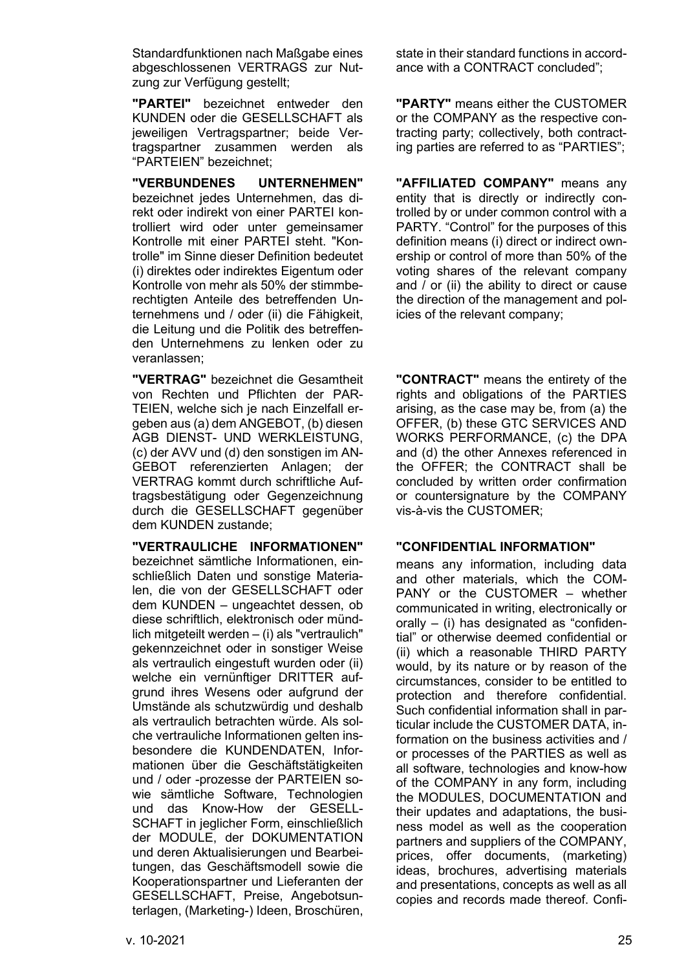Standardfunktionen nach Maßgabe eines abgeschlossenen VERTRAGS zur Nutzung zur Verfügung gestellt;

**"PARTEI"** bezeichnet entweder den KUNDEN oder die GESELLSCHAFT als jeweiligen Vertragspartner; beide Vertragspartner zusammen werden als "PARTEIEN" bezeichnet;

**"VERBUNDENES UNTERNEHMEN"** bezeichnet jedes Unternehmen, das direkt oder indirekt von einer PARTEI kontrolliert wird oder unter gemeinsamer Kontrolle mit einer PARTEI steht. "Kontrolle" im Sinne dieser Definition bedeutet (i) direktes oder indirektes Eigentum oder Kontrolle von mehr als 50% der stimmberechtigten Anteile des betreffenden Unternehmens und / oder (ii) die Fähigkeit, die Leitung und die Politik des betreffenden Unternehmens zu lenken oder zu veranlassen;

**"VERTRAG"** bezeichnet die Gesamtheit von Rechten und Pflichten der PAR-TEIEN, welche sich je nach Einzelfall ergeben aus (a) dem ANGEBOT, (b) diesen AGB DIENST- UND WERKLEISTUNG, (c) der AVV und (d) den sonstigen im AN-GEBOT referenzierten Anlagen; der VERTRAG kommt durch schriftliche Auftragsbestätigung oder Gegenzeichnung durch die GESELLSCHAFT gegenüber dem KUNDEN zustande;

**"VERTRAULICHE INFORMATIONEN"** bezeichnet sämtliche Informationen, einschließlich Daten und sonstige Materialen, die von der GESELLSCHAFT oder dem KUNDEN – ungeachtet dessen, ob diese schriftlich, elektronisch oder mündlich mitgeteilt werden – (i) als "vertraulich" gekennzeichnet oder in sonstiger Weise als vertraulich eingestuft wurden oder (ii) welche ein vernünftiger DRITTER aufgrund ihres Wesens oder aufgrund der Umstände als schutzwürdig und deshalb als vertraulich betrachten würde. Als solche vertrauliche Informationen gelten insbesondere die KUNDENDATEN, Informationen über die Geschäftstätigkeiten und / oder -prozesse der PARTEIEN sowie sämtliche Software, Technologien und das Know-How der GESELL-SCHAFT in jeglicher Form, einschließlich der MODULE, der DOKUMENTATION und deren Aktualisierungen und Bearbeitungen, das Geschäftsmodell sowie die Kooperationspartner und Lieferanten der GESELLSCHAFT, Preise, Angebotsunterlagen, (Marketing-) Ideen, Broschüren,

state in their standard functions in accordance with a CONTRACT concluded";

**"PARTY"** means either the CUSTOMER or the COMPANY as the respective contracting party; collectively, both contracting parties are referred to as "PARTIES";

**"AFFILIATED COMPANY"** means any entity that is directly or indirectly controlled by or under common control with a PARTY. "Control" for the purposes of this definition means (i) direct or indirect ownership or control of more than 50% of the voting shares of the relevant company and / or (ii) the ability to direct or cause the direction of the management and policies of the relevant company;

**"CONTRACT"** means the entirety of the rights and obligations of the PARTIES arising, as the case may be, from (a) the OFFER, (b) these GTC SERVICES AND WORKS PERFORMANCE, (c) the DPA and (d) the other Annexes referenced in the OFFER; the CONTRACT shall be concluded by written order confirmation or countersignature by the COMPANY vis-à-vis the CUSTOMER;

# **"CONFIDENTIAL INFORMATION"**

means any information, including data and other materials, which the COM-PANY or the CUSTOMER – whether communicated in writing, electronically or orally – (i) has designated as "confidential" or otherwise deemed confidential or (ii) which a reasonable THIRD PARTY would, by its nature or by reason of the circumstances, consider to be entitled to protection and therefore confidential. Such confidential information shall in particular include the CUSTOMER DATA, information on the business activities and / or processes of the PARTIES as well as all software, technologies and know-how of the COMPANY in any form, including the MODULES, DOCUMENTATION and their updates and adaptations, the business model as well as the cooperation partners and suppliers of the COMPANY, prices, offer documents, (marketing) ideas, brochures, advertising materials and presentations, concepts as well as all copies and records made thereof. Confi